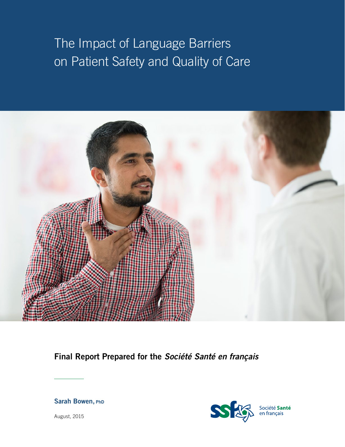# The Impact of Language Barriers on Patient Safety and Quality of Care



**Final Report Prepared for the** *Société Santé en français*

#### **Sarah Bowen, PhD**



Société **Santé**<br>en français

August, 2015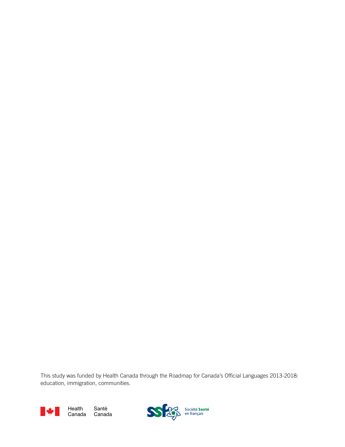This study was funded by Health Canada through the Roadmap for Canada's Official Languages 2013-2018: education, immigration, communities.



Santé Canada CanadaHealth

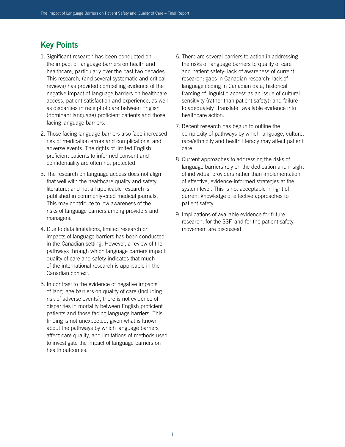## **Key Points**

- 1. Significant research has been conducted on the impact of language barriers on health and healthcare, particularly over the past two decades. This research, (and several systematic and critical reviews) has provided compelling evidence of the negative impact of language barriers on healthcare access, patient satisfaction and experience, as well as disparities in receipt of care between English (dominant language) proficient patients and those facing language barriers.
- 2. Those facing language barriers also face increased risk of medication errors and complications, and adverse events. The rights of limited English proficient patients to informed consent and confidentiality are often not protected.
- 3. The research on language access does not align that well with the healthcare quality and safety literature; and not all applicable research is published in commonly-cited medical journals. This may contribute to low awareness of the risks of language barriers among providers and managers.
- 4. Due to data limitations, limited research on impacts of language barriers has been conducted in the Canadian setting. However, a review of the pathways through which language barriers impact quality of care and safety indicates that much of the international research is applicable in the Canadian context.
- 5. In contrast to the evidence of negative impacts of language barriers on quality of care (including risk of adverse events), there is not evidence of disparities in mortality between English proficient patients and those facing language barriers. This finding is not unexpected, given what is known about the pathways by which language barriers affect care quality, and limitations of methods used to investigate the impact of language barriers on health outcomes.
- 6. There are several barriers to action in addressing the risks of language barriers to quality of care and patient safety: lack of awareness of current research; gaps in Canadian research; lack of language coding in Canadian data; historical framing of linguistic access as an issue of cultural sensitivity (rather than patient safety); and failure to adequately "translate" available evidence into healthcare action.
- 7. Recent research has begun to outline the complexity of pathways by which language, culture, race/ethnicity and health literacy may affect patient care.
- 8. Current approaches to addressing the risks of language barriers rely on the dedication and insight of individual providers rather than implementation of effective, evidence-informed strategies at the system level. This is not acceptable in light of current knowledge of effective approaches to patient safety.
- 9. Implications of available evidence for future research, for the SSF, and for the patient safety movement are discussed.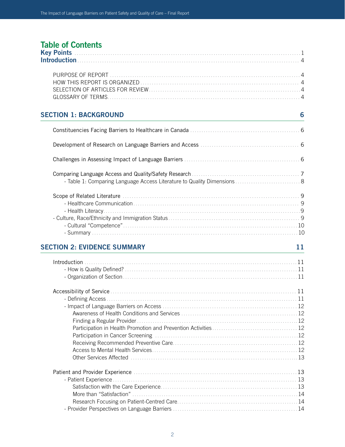## **Table of Contents**

| <b>SECTION 1: BACKGROUND</b>       | 6<br>- Table 1: Comparing Language Access Literature to Quality Dimensions  8<br>11 |
|------------------------------------|-------------------------------------------------------------------------------------|
|                                    |                                                                                     |
|                                    |                                                                                     |
|                                    |                                                                                     |
|                                    |                                                                                     |
|                                    |                                                                                     |
| <b>SECTION 2: EVIDENCE SUMMARY</b> |                                                                                     |
|                                    |                                                                                     |
|                                    |                                                                                     |

 - Defining Access ..................................................................................... 11 - Impact of Language Barriers on Access ............................................................ 12 Awareness of Health Conditions and Services .................................................... 12 Finding a Regular Provider ........................................................................12 Participation in Health Promotion and Prevention Activities ...................................... 12 Participation in Cancer Screening ................................................................12 Receiving Recommended Preventive Care........................................................12 Access to Mental Health Services................................................................. 12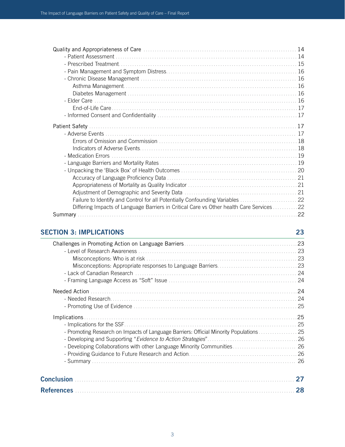| Failure to Identify and Control for all Potentially Confounding Variables  22            |  |
|------------------------------------------------------------------------------------------|--|
| Differing Impacts of Language Barriers in Critical Care vs Other health Care Services 22 |  |
|                                                                                          |  |
|                                                                                          |  |

### **SECTION 3: IMPLICATIONS 23**

| 27 |
|----|
| 28 |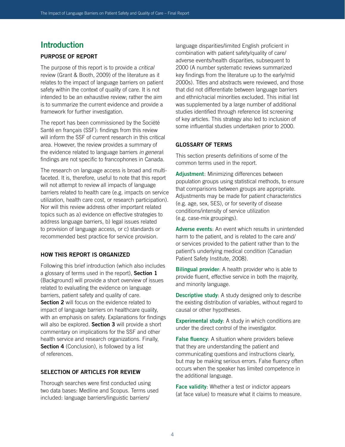### **Introduction**

#### **PURPOSE OF REPORT**

The purpose of this report is to provide a *critical* review (Grant & Booth, 2009) of the literature as it relates to the impact of language barriers on patient safety within the context of quality of care. It is not intended to be an exhaustive review; rather the aim is to summarize the current evidence and provide a framework for further investigation.

The report has been commissioned by the Société Santé en français (SSF): findings from this review will inform the SSF of current research in this critical area. However, the review provides a summary of the evidence related to language barriers *in general*: findings are not specific to francophones in Canada.

The research on language access is broad and multifaceted. It is, therefore, useful to note that this report will not attempt to review all impacts of language barriers related to health care (e.g. impacts on service utilization, health care cost, or research participation). Nor will this review address other important related topics such as a) evidence on effective strategies to address language barriers, b) legal issues related to provision of language access, or c) standards or recommended best practice for service provision.

#### **HOW THIS REPORT IS ORGANIZED**

Following this brief introduction (which also includes a glossary of terms used in the report), **Section 1** (Background) will provide a short overview of issues related to evaluating the evidence on language barriers, patient safety and quality of care. **Section 2** will focus on the evidence related to impact of language barriers on healthcare quality, with an emphasis on safety. Explanations for findings will also be explored. **Section 3** will provide a short commentary on implications for the SSF and other health service and research organizations. Finally, **Section 4** (Conclusion), is followed by a list of references.

#### **SELECTION OF ARTICLES FOR REVIEW**

Thorough searches were first conducted using two data bases: Medline and Scopus. Terms used included: language barriers/linguistic barriers/

language disparities/limited English proficient in combination with patient safety/quality of care/ adverse events/health disparities, subsequent to 2000 (A number systematic reviews summarized key findings from the literature up to the early/mid 2000s). Titles and abstracts were reviewed, and those that did not differentiate between language barriers and ethnic/racial minorities excluded. This initial list was supplemented by a large number of additional studies identified through reference list screening of key articles. This strategy also led to inclusion of some influential studies undertaken prior to 2000.

#### **GLOSSARY OF TERMS**

This section presents definitions of some of the common terms used in the report.

**Adjustment**: Minimizing differences between population groups using statistical methods, to ensure that comparisons between groups are appropriate. Adjustments may be made for patient characteristics (e.g. age, sex, SES), or for severity of disease conditions/intensity of service utilization (e.g. case-mix groupings).

**Adverse events**: An event which results in unintended harm to the patient, and is related to the care and/ or services provided to the patient rather than to the patient's underlying medical condition (Canadian Patient Safety Institute, 2008).

**Bilingual provider**: A health provider who is able to provide fluent, effective service in both the majority, and minority language.

**Descriptive study**: A study designed only to describe the existing distribution of variables, without regard to causal or other hypotheses.

**Experimental study:** A study in which conditions are under the direct control of the investigator.

**False fluency:** A situation where providers believe that they are understanding the patient and communicating questions and instructions clearly, but may be making serious errors. False fluency often occurs when the speaker has limited competence in the additional language.

**Face validity**: Whether a test or indictor appears (at face value) to measure what it claims to measure.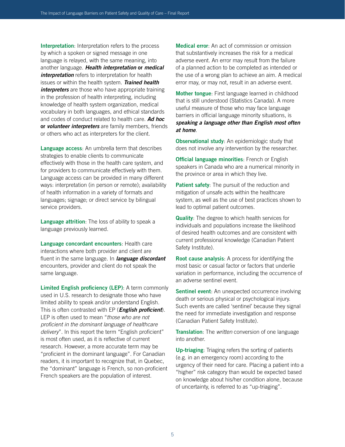**Interpretation**: Interpretation refers to the process by which a spoken or signed message in one language is relayed, with the same meaning, into another language. *Health interpretation* **or** *medical*  **interpretation** refers to interpretation for health issues or within the health system. *Trained health interpreters* are those who have appropriate training in the profession of health interpreting, including knowledge of health system organization, medical vocabulary in both languages, and ethical standards and codes of conduct related to health care. *Ad hoc*  **or** *volunteer interpreters* are family members, friends or others who act as interpreters for the client.

**Language access**: An umbrella term that describes strategies to enable clients to communicate effectively with those in the health care system, and for providers to communicate effectively with them. Language access can be provided in many different ways: interpretation (in person or remote); availability of health information in a variety of formats and languages; signage; or direct service by bilingual service providers.

**Language attrition**: The loss of ability to speak a language previously learned.

**Language concordant encounters**: Health care interactions where both provider and client are fluent in the same language. In *language discordant* encounters, provider and client do not speak the same language.

**Limited English proficiency (LEP)**: A term commonly used in U.S. research to designate those who have limited ability to speak and/or understand English. This is often contrasted with EP (*English proficient*). LEP is often used to mean "*those who are not proficient in the dominant language of healthcare delivery*". In this report the term "English proficient" is most often used, as it is reflective of current research. However, a more accurate term may be "proficient in the dominant language". For Canadian readers, it is important to recognize that, in Quebec, the "dominant" language is French, so non-proficient French speakers are the population of interest.

**Medical error**: An act of commission or omission that substantively increases the risk for a medical adverse event. An error may result from the failure of a planned action to be completed as intended or the use of a wrong plan to achieve an aim. A medical error may, or may not, result in an adverse event.

**Mother tongue**: First language learned in childhood that is still understood (Statistics Canada). A more useful measure of those who may face language barriers in official language minority situations, is *speaking a language other than English most often at home*.

**Observational study:** An epidemiologic study that does not involve any intervention by the researcher.

**Official language minorities**: French or English speakers in Canada who are a numerical minority in the province or area in which they live.

**Patient safety:** The pursuit of the reduction and mitigation of unsafe acts within the healthcare system, as well as the use of best practices shown to lead to optimal patient outcomes.

**Quality**: The degree to which health services for individuals and populations increase the likelihood of desired health outcomes and are consistent with current professional knowledge (Canadian Patient Safety Institute).

**Root cause analysis**: A process for identifying the most basic or casual factor or factors that underlie variation in performance, including the occurrence of an adverse sentinel event.

**Sentinel event:** An unexpected occurrence involving death or serious physical or psychological injury. Such events are called 'sentinel' because they signal the need for immediate investigation and response (Canadian Patient Safety Institute).

**Translation**: The *written* conversion of one language into another.

**Up-triaging**: Triaging refers the sorting of patients (e.g. in an emergency room) according to the urgency of their need for care. Placing a patient into a "higher" risk category than would be expected based on knowledge about his/her condition alone, because of uncertainty, is referred to as "up-triaging".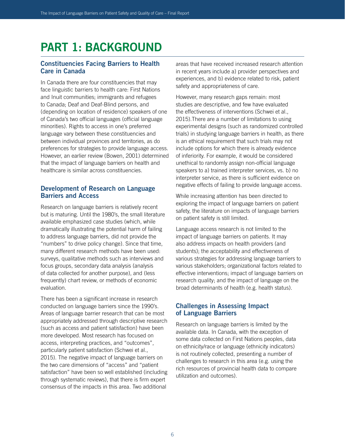## **PART 1: BACKGROUND**

#### **Constituencies Facing Barriers to Health Care in Canada**

In Canada there are four constituencies that may face linguistic barriers to health care: First Nations and Inuit communities; immigrants and refugees to Canada; Deaf and Deaf-Blind persons, and (depending on location of residence) speakers of one of Canada's two official languages (official language minorities). Rights to access in one's preferred language vary between these constituencies and between individual provinces and territories, as do preferences for strategies to provide language access. However, an earlier review (Bowen, 2001) determined that the impact of language barriers on health and healthcare is similar across constituencies.

#### **Development of Research on Language Barriers and Access**

Research on language barriers is relatively recent but is maturing. Until the 1980's, the small literature available emphasized case studies (which, while dramatically illustrating the potential harm of failing to address language barriers, did not provide the "numbers" to drive policy change). Since that time, many different research methods have been used: surveys, qualitative methods such as interviews and focus groups, secondary data analysis (analysis of data collected for another purpose), and (less frequently) chart review, or methods of economic evaluation.

There has been a significant increase in research conducted on language barriers since the 1990's. Areas of language barrier research that can be most appropriately addressed through descriptive research (such as access and patient satisfaction) have been more developed. Most research has focused on access, interpreting practices, and "outcomes", particularly patient satisfaction (Schwei et al., 2015). The negative impact of language barriers on the two care dimensions of "access" and "patient satisfaction" have been so well established (including through systematic reviews), that there is firm expert consensus of the impacts in this area. Two additional

areas that have received increased research attention in recent years include a) provider perspectives and experiences, and b) evidence related to risk, patient safety and appropriateness of care.

However, many research gaps remain: most studies are descriptive, and few have evaluated the effectiveness of interventions (Schwei et al., 2015).There are a number of limitations to using experimental designs (such as randomized controlled trials) in studying language barriers in health, as there is an ethical requirement that such trials may not include options for which there is already evidence of inferiority. For example, it would be considered unethical to randomly assign non-official language speakers to a) trained interpreter services, vs. b) no interpreter service, as there is sufficient evidence on negative effects of failing to provide language access.

While increasing attention has been directed to exploring the impact of language barriers on patient safety, the literature on impacts of language barriers on patient safety is still limited.

Language access research is not limited to the impact of language barriers on patients. It may also address impacts on health providers (and students); the acceptability and effectiveness of various strategies for addressing language barriers to various stakeholders; organizational factors related to effective interventions; impact of language barriers on research quality; and the impact of language on the broad determinants of health (e.g. health status).

#### **Challenges in Assessing Impact of Language Barriers**

Research on language barriers is limited by the available data. In Canada, with the exception of some data collected on First Nations peoples, data on ethnicity/race or language (ethnicity indicators) is not routinely collected, presenting a number of challenges to research in this area (e.g. using the rich resources of provincial health data to compare utilization and outcomes).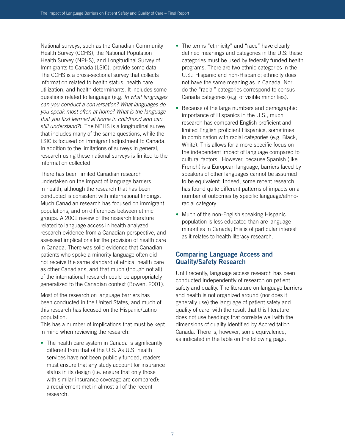National surveys, such as the Canadian Community Health Survey (CCHS), the National Population Health Survey (NPHS), and Longitudinal Survey of Immigrants to Canada (LSIC), provide some data. The CCHS is a cross-sectional survey that collects information related to health status, health care utilization, and health determinants. It includes some questions related to language (e.g. *In what languages can you conduct a conversation? What languages do you speak most often at home? What is the language that you first learned at home in childhood and can still understand?*). The NPHS is a longitudinal survey that includes many of the same questions, while the LSIC is focused on immigrant adjustment to Canada. In addition to the limitations of surveys in general, research using these national surveys is limited to the information collected.

There has been limited Canadian research undertaken on the impact of language barriers in health, although the research that has been conducted is consistent with international findings. Much Canadian research has focused on immigrant populations, and on differences between ethnic groups. A 2001 review of the research literature related to language access in health analyzed research evidence from a Canadian perspective, and assessed implications for the provision of health care in Canada. There was solid evidence that Canadian patients who spoke a minority language often did not receive the same standard of ethical health care as other Canadians, and that much (though not all) of the international research could be appropriately generalized to the Canadian context (Bowen, 2001).

Most of the research on language barriers has been conducted in the United States, and much of this research has focused on the Hispanic/Latino population.

This has a number of implications that must be kept in mind when reviewing the research:

• The health care system in Canada is significantly different from that of the U.S. As U.S. health services have not been publicly funded, readers must ensure that any study account for insurance status in its design (i.e. ensure that only those with similar insurance coverage are compared); a requirement met in almost all of the recent research.

- The terms "ethnicity" and "race" have clearly defined meanings and categories in the U.S: these categories must be used by federally funded health programs. There are two ethnic categories in the U.S.: Hispanic and non-Hispanic; ethnicity does not have the same meaning as in Canada. Nor do the "racial" categories correspond to census Canada categories (e.g. of visible minorities).
- Because of the large numbers and demographic importance of Hispanics in the U.S., much research has compared English proficient and limited English proficient Hispanics, sometimes in combination with racial categories (e.g. Black, White). This allows for a more specific focus on the independent impact of language compared to cultural factors. However, because Spanish (like French) is a European language, barriers faced by speakers of other languages cannot be assumed to be equivalent. Indeed, some recent research has found quite different patterns of impacts on a number of outcomes by specific language/ethnoracial category.
- Much of the non-English speaking Hispanic population is less educated than are language minorities in Canada; this is of particular interest as it relates to health literacy research.

#### **Comparing Language Access and Quality/Safety Research**

Until recently, language access research has been conducted independently of research on patient safety and quality. The literature on language barriers and health is not organized around (nor does it generally use) the language of patient safety and quality of care, with the result that this literature does not use headings that correlate well with the dimensions of quality identified by Accreditation Canada. There is, however, some equivalence, as indicated in the table on the following page.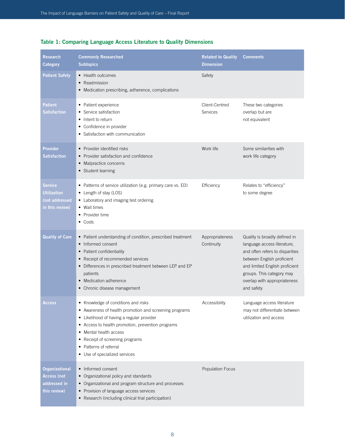| <b>Research</b><br><b>Category</b>                                   | <b>Commonly Researched</b><br><b>Subtopics</b>                                                                                                                                                                                                                                                                                 | <b>Related to Quality</b><br><b>Dimension</b> | <b>Comments</b>                                                                                                                                                                                                                            |
|----------------------------------------------------------------------|--------------------------------------------------------------------------------------------------------------------------------------------------------------------------------------------------------------------------------------------------------------------------------------------------------------------------------|-----------------------------------------------|--------------------------------------------------------------------------------------------------------------------------------------------------------------------------------------------------------------------------------------------|
| <b>Patient Safety</b>                                                | • Health outcomes<br>• Readmission<br>• Medication prescribing, adherence, complications                                                                                                                                                                                                                                       | Safety                                        |                                                                                                                                                                                                                                            |
| Patient<br><b>Satisfaction</b>                                       | • Patient experience<br>• Service satisfaction<br>• Intent to return<br>• Confidence in provider<br>• Satisfaction with communication                                                                                                                                                                                          | Client-Centred<br>Services                    | These two categories<br>overlap but are<br>not equivalent                                                                                                                                                                                  |
| <b>Provider</b><br><b>Satisfaction</b>                               | • Provider identified risks<br>• Provider satisfaction and confidence<br>Malpractice concerns<br>$\bullet$<br>• Student learning                                                                                                                                                                                               | Work life                                     | Some similarities with<br>work life category                                                                                                                                                                                               |
| <b>Service</b><br>Utilization<br>(not addressed<br>in this review)   | • Patterns of service utilization (e.g. primary care vs. ED)<br>• Length of stay (LOS)<br>• Laboratory and imaging test ordering<br>• Wait times<br>• Provider time<br>$\bullet$ Costs                                                                                                                                         | Efficiency                                    | Relates to "efficiency"<br>to some degree                                                                                                                                                                                                  |
| <b>Quality of Care</b>                                               | • Patient understanding of condition, prescribed treatment<br>• Informed consent<br>• Patient confidentiality<br>Receipt of recommended services<br>• Differences in prescribed treatment between LEP and EP<br>patients<br>• Medication adherence<br>• Chronic disease management                                             | Appropriateness<br>Continuity                 | Quality is broadly defined in<br>language access literature,<br>and often refers to disparities<br>between English proficient<br>and limited English proficient<br>groups. This category may<br>overlap with appropriateness<br>and safety |
| Access                                                               | Knowledge of conditions and risks<br>• Awareness of health promotion and screening programs<br>• Likelihood of having a regular provider<br>• Access to health promotion, prevention programs<br>Mental health access<br>٠<br>Receipt of screening programs<br>٠<br>Patterns of referral<br>٠<br>• Use of specialized services | Accessibility                                 | Language access literature<br>may not differentiate between<br>utilization and access                                                                                                                                                      |
| <b>Organizational</b><br>Access (not<br>addressed in<br>this review) | • Informed consent<br>Organizational policy and standards<br>٠<br>Organizational and program structure and processes<br>٠<br>Provision of language access services<br>$\bullet$<br>• Research (including clinical trial participation)                                                                                         | <b>Population Focus</b>                       |                                                                                                                                                                                                                                            |

### **Table 1: Comparing Language Access Literature to Quality Dimensions**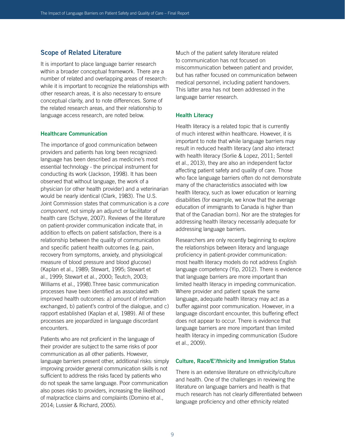#### **Scope of Related Literature**

It is important to place language barrier research within a broader conceptual framework. There are a number of related and overlapping areas of research: while it is important to recognize the relationships with other research areas, it is also necessary to ensure conceptual clarity, and to note differences. Some of the related research areas, and their relationship to language access research, are noted below.

#### **Healthcare Communication**

The importance of good communication between providers and patients has long been recognized: language has been described as medicine's most essential technology - the principal instrument for conducting its work (Jackson, 1998). It has been observed that without language, the work of a physician (or other health provider) and a veterinarian would be nearly identical (Clark, 1983). The U.S. Joint Commission states that communication is a *core component*, not simply an adjunct or facilitator of health care (Schyve, 2007). Reviews of the literature on patient-provider communication indicate that, in addition to effects on patient satisfaction, there is a relationship between the quality of communication and specific patient health outcomes (e.g. pain, recovery from symptoms, anxiety, and physiological measure of blood pressure and blood glucose) (Kaplan et al., 1989; Stewart, 1995; Stewart et al., 1999; Stewart et al., 2000; Teutch, 2003; Williams et al., 1998).Three basic communication processes have been identified as associated with improved health outcomes: a) amount of information exchanged, b) patient's control of the dialogue, and c) rapport established (Kaplan et al, 1989). All of these processes are jeopardized in language discordant encounters.

Patients who are not proficient in the language of their provider are subject to the same risks of poor communication as all other patients. However, language barriers present other, additional risks: simply improving provider general communication skills is not sufficient to address the risks faced by patients who do not speak the same language. Poor communication also poses risks to providers, increasing the likelihood of malpractice claims and complaints (Domino et al., 2014; Lussier & Richard, 2005).

Much of the patient safety literature related to communication has not focused on miscommunication between patient and provider, but has rather focused on communication between medical personnel, including patient handovers. This latter area has not been addressed in the language barrier research.

#### **Health Literacy**

Health literacy is a related topic that is currently of much interest within healthcare. However, it is important to note that while language barriers may result in reduced health literacy (and also interact with health literacy (Sorlie & Lopez, 2011; Sentell et al., 2013), they are also an independent factor affecting patient safety and quality of care. Those who face language barriers often do not demonstrate many of the characteristics associated with low health literacy, such as lower education or learning disabilities (for example, we know that the average education of immigrants to Canada is higher than that of the Canadian born). Nor are the strategies for addressing health literacy necessarily adequate for addressing language barriers.

Researchers are only recently beginning to explore the relationships between literacy and language proficiency in patient-provider communication: most health literacy models do not address English language competency (Yip, 2012). There is evidence that language barriers are more important than limited health literacy in impeding communication. Where provider and patient speak the same language, adequate health literacy may act as a buffer against poor communication. However, in a language discordant encounter, this buffering effect does not appear to occur. There is evidence that language barriers are more important than limited health literacy in impeding communication (Sudore et al., 2009).

#### **Culture, Race/E'/thnicity and Immigration Status**

There is an extensive literature on ethnicity/culture and health. One of the challenges in reviewing the literature on language barriers and health is that much research has not clearly differentiated between language proficiency and other ethnicity related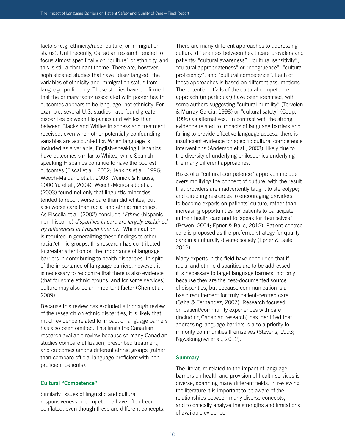factors (e.g. ethnicity/race, culture, or immigration status). Until recently, Canadian research tended to focus almost specifically on "culture" or ethnicity, and this is still a dominant theme. There are, however, sophisticated studies that have "disentangled" the variables of ethnicity and immigration status from language proficiency. These studies have confirmed that the primary factor associated with poorer health outcomes appears to be language, not ethnicity. For example, several U.S. studies have found greater disparities between Hispanics and Whites than between Blacks and Whites in access and treatment received, even when other potentially confounding variables are accounted for. When language is included as a variable, English-speaking Hispanics have outcomes similar to Whites, while Spanishspeaking Hispanics continue to have the poorest outcomes (Fiscal et al., 2002; Jenkins et al., 1996; Weech-Maldano et.al., 2003; Weinick & Krauss, 2000;Yu et al., 2004). Weech-Mondalado et al., (2003) found not only that linguistic minorities tended to report worse care than did whites, but also worse care than racial and ethnic minorities. As Fiscella et al. (2002) conclude "*Ethnic* (hispanic, non-hispanic) *disparities in care are largely explained by differences in English fluency*." While caution is required in generalizing these findings to other racial/ethnic groups, this research has contributed to greater attention on the importance of language barriers in contributing to health disparities. In spite of the importance of language barriers, however, it is necessary to recognize that there is also evidence (that for some ethnic groups, and for some services) culture may also be an important factor (Chen et al., 2009).

Because this review has excluded a thorough review of the research on ethnic disparities, it is likely that much evidence related to impact of language barriers has also been omitted. This limits the Canadian research available review because so many Canadian studies compare utilization, prescribed treatment, and outcomes among different ethnic groups (rather than compare official language proficient with non proficient patients).

#### **Cultural "Competence"**

Similarly, issues of linguistic and cultural responsiveness or competence have often been conflated, even though these are different concepts. There are many different approaches to addressing cultural differences between healthcare providers and patients: "cultural awareness", "cultural sensitivity", "cultural appropriateness" or "congruence", "cultural proficiency", and "cultural competence". Each of these approaches is based on different assumptions. The potential pitfalls of the cultural competence approach (in particular) have been identified, with some authors suggesting "cultural humility" (Tervelon & Murray-Garcia, 1998) or "cultural safety" (Coup, 1996) as alternatives. In contrast with the strong evidence related to impacts of language barriers and failing to provide effective language access, there is insufficient evidence for specific cultural competence interventions (Anderson et al., 2003), likely due to the diversity of underlying philosophies underlying the many different approaches.

Risks of a "cultural competence" approach include oversimplifying the concept of culture, with the result that providers are inadvertently taught to stereotype; and directing resources to encouraging providers to become experts on patients' culture, rather than increasing opportunities for patients to participate in their health care and to 'speak for themselves" (Bowen, 2004; Epner & Baile, 2012). Patient-centred care is proposed as the preferred strategy for quality care in a culturally diverse society (Epner & Baile, 2012).

Many experts in the field have concluded that if racial and ethnic disparities are to be addressed, it is necessary to target language barriers: not only because they are the best-documented source of disparities, but because communication is a basic requirement for truly patient-centred care (Saha & Fernandez, 2007). Research focused on patient/community experiences with care (including Canadian research) has identified that addressing language barriers is also a priority to minority communities themselves (Stevens, 1993; Ngwakongnwi et al., 2012).

#### **Summary**

The literature related to the impact of language barriers on health and provision of health services is diverse, spanning many different fields. In reviewing the literature it is important to be aware of the relationships between many diverse concepts, and to critically analyze the strengths and limitations of available evidence.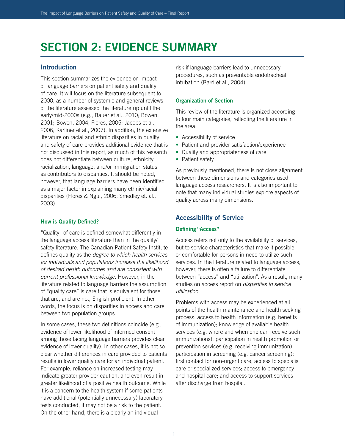## **SECTION 2: EVIDENCE SUMMARY**

#### **Introduction**

This section summarizes the evidence on impact of language barriers on patient safety and quality of care. It will focus on the literature subsequent to 2000, as a number of systemic and general reviews of the literature assessed the literature up until the early/mid-2000s (e.g., Bauer et al., 2010; Bowen, 2001; Bowen, 2004; Flores, 2005; Jacobs et al., 2006; Karliner et al., 2007). In addition, the extensive literature on racial and ethnic disparities in quality and safety of care provides additional evidence that is not discussed in this report, as much of this research does not differentiate between culture, ethnicity, racialization, language, and/or immigration status as contributors to disparities. It should be noted, however, that language barriers have been identified as a major factor in explaining many ethnic/racial disparities (Flores & Ngui, 2006; Smedley et. al., 2003).

#### **How is Quality Defined?**

"Quality" of care is defined somewhat differently in the language access literature than in the quality/ safety literature. The Canadian Patient Safety Institute defines quality as the *degree to which health services for individuals and populations increase the likelihood of desired health outcomes and are consistent with current professional knowledge*. However, in the literature related to language barriers the assumption of "quality care" is care that is equivalent for those that are, and are not, English proficient. In other words, the focus is on disparities in access and care between two population groups.

In some cases, these two definitions coincide (e.g., evidence of lower likelihood of informed consent among those facing language barriers provides clear evidence of lower quality). In other cases, it is not so clear whether differences in care provided to patients results in lower quality care for an individual patient. For example, reliance on increased testing may indicate greater provider caution, and even result in greater likelihood of a positive health outcome. While it is a concern to the health system if some patients have additional (potentially unnecessary) laboratory tests conducted, it may not be a risk to the patient. On the other hand, there is a clearly an individual

risk if language barriers lead to unnecessary procedures, such as preventable endotracheal intubation (Bard et al., 2004).

#### **Organization of Section**

This review of the literature is organized according to four main categories, reflecting the literature in the area:

- Accessibility of service
- Patient and provider satisfaction/experience
- Quality and appropriateness of care
- Patient safety.

As previously mentioned, there is not close alignment between these dimensions and categories used language access researchers. It is also important to note that many individual studies explore aspects of quality across many dimensions.

#### **Accessibility of Service**

#### **Defining "Access"**

Access refers not only to the availability of services, but to service characteristics that make it possible or comfortable for persons in need to utilize such services. In the literature related to language access, however, there is often a failure to differentiate between "access" and "utilization". As a result, many studies on access report on *disparities in service utilization*.

Problems with access may be experienced at all points of the health maintenance and health seeking process: access to health information (e.g. benefits of immunization); knowledge of available health services (e.g. where and when one can receive such immunizations); participation in health promotion or prevention services (e.g. receiving immunization); participation in screening (e.g. cancer screening); first contact for non-urgent care; access to specialist care or specialized services; access to emergency and hospital care; and access to support services after discharge from hospital.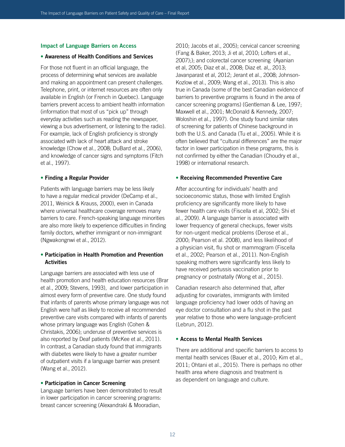#### **Impact of Language Barriers on Access**

#### **• Awareness of Health Conditions and Services**

For those not fluent in an official language, the process of determining what services are available and making an appointment can present challenges. Telephone, print, or internet resources are often only available in English (or French in Quebec). Language barriers prevent access to ambient health information (information that most of us "pick up" through everyday activities such as reading the newspaper, viewing a bus advertisement, or listening to the radio). For example, lack of English proficiency is strongly associated with lack of heart attack and stroke knowledge (Chow et al., 2008; DuBard et al., 2006), and knowledge of cancer signs and symptoms (Fitch et al., 1997).

#### **• Finding a Regular Provider**

Patients with language barriers may be less likely to have a regular medical provider (DeCamp et al., 2011, Weinick & Krauss, 2000), even in Canada where universal healthcare coverage removes many barriers to care. French-speaking language minorities are also more likely to experience difficulties in finding family doctors, whether immigrant or non-immigrant (Ngwakongnwi et al., 2012).

#### **• Participation in Health Promotion and Prevention Activities**

Language barriers are associated with less use of health promotion and health education resources (Brar et al., 2009; Stevens, 1993), and lower participation in almost every form of preventive care. One study found that infants of parents whose primary language was not English were half as likely to receive all recommended preventive care visits compared with infants of parents whose primary language was English (Cohen & Christakis, 2006); underuse of preventive services is also reported by Deaf patients (McKee et al., 2011). In contrast, a Canadian study found that immigrants with diabetes were likely to have a greater number of outpatient visits if a language barrier was present (Wang et al., 2012).

#### **• Participation in Cancer Screening**

Language barriers have been demonstrated to result in lower participation in cancer screening programs: breast cancer screening (Alexandraki & Mooradian,

2010; Jacobs et al., 2005); cervical cancer screening (Fang & Baker, 2013; Ji et al, 2010; Lofters et al., 2007);); and colorectal cancer screening (Ayanian et al, 2005; Diaz et al., 2008; Diaz et. al,, 2013; Javanparast et al, 2012; Jerant et al., 2008; Johnson-Kozlow et al., 2009; Wang et al., 2013). This is also true in Canada (some of the best Canadian evidence of barriers to preventive programs is found in the area of cancer screening programs) (Gentleman & Lee, 1997; Maxwell et al., 2001; McDonald & Kennedy, 2007; Woloshin et al., 1997). One study found similar rates of screening for patients of Chinese background in both the U.S. and Canada (Tu et al., 2005). While it is often believed that "cultural differences" are the major factor in lower participation in these programs, this is not confirmed by either the Canadian (Choudry et al., 1998) or international research.

#### **• Receiving Recommended Preventive Care**

After accounting for individuals' health and socioeconomic status, those with limited English proficiency are significantly more likely to have fewer health care visits (Fiscella et al, 2002; Shi et al., 2009). A language barrier is associated with lower frequency of general checkups, fewer visits for non-urgent medical problems (Derose et al., 2000; Pearson et al. 2008), and less likelihood of a physician visit, flu shot or mammogram (Fiscella et al., 2002; Pearson et al., 2011). Non-English speaking mothers were significantly less likely to have received pertussis vaccination prior to pregnancy or postnatally (Wong et al., 2015).

Canadian research also determined that, after adjusting for covariates, immigrants with limited language proficiency had lower odds of having an eye doctor consultation and a flu shot in the past year relative to those who were language-proficient (Lebrun, 2012).

#### **• Access to Mental Health Services**

There are additional and specific barriers to access to mental health services (Bauer et al., 2010; Kim et al., 2011; Ohtani et al., 2015). There is perhaps no other health area where diagnosis and treatment is as dependent on language and culture.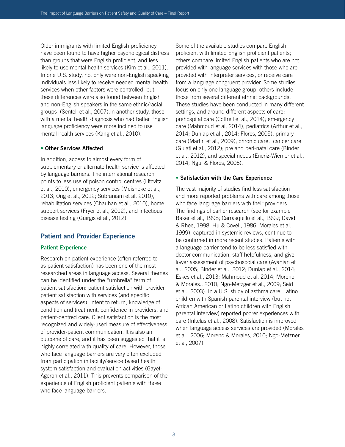Older immigrants with limited English proficiency have been found to have higher psychological distress than groups that were English proficient, and less likely to use mental health services (Kim et al., 2011). In one U.S. study, not only were non-English speaking individuals less likely to receive needed mental health services when other factors were controlled, but these differences were also found between English and non-English speakers in the same ethnic/racial groups (Sentell et al., 2007).In another study, those with a mental health diagnosis who had better English language proficiency were more inclined to use mental health services (Kang et al., 2010).

#### **• Other Services Affected**

In addition, access to almost every form of supplementary or alternate health service is affected by language barriers. The international research points to less use of poison control centres (Litovitz et al., 2010), emergency services (Meishcke et al., 2013; Ong et al., 2012; Subraniam et al, 2010), rehabilitation services (Chauhan et al., 2010), home support services (Fryer et al., 2012), and infectious disease testing (Guirgis et al., 2012).

#### **Patient and Provider Experience**

#### **Patient Experience**

Research on patient experience (often referred to as patient satisfaction) has been one of the most researched areas in language access. Several themes can be identified under the "umbrella" term of patient satisfaction: patient satisfaction with provider, patient satisfaction with services (and specific aspects of services), intent to return, knowledge of condition and treatment, confidence in providers, and patient-centred care. Client satisfaction is the most recognized and widely-used measure of effectiveness of provider-patient communication. It is also an outcome of care, and it has been suggested that it is highly correlated with quality of care. However, those who face language barriers are very often excluded from participation in facility/service based health system satisfaction and evaluation activities (Gayet-Ageron et al., 2011). This prevents comparison of the experience of English proficient patients with those who face language barriers.

Some of the available studies compare English proficient with limited English proficient patients; others compare limited English patients who are not provided with language services with those who are provided with interpreter services, or receive care from a language congruent provider. Some studies focus on only one language group, others include those from several different ethnic backgrounds. These studies have been conducted in many different settings, and around different aspects of care: prehospital care (Cottrell et al., 2014); emergency care (Mahmoud et al, 2014), pediatrics (Arthur et al., 2014; Dunlap et al., 2014; Flores, 2005), primary care (Martin et al., 2009); chronic care, cancer care (Gulati et al., 2012); pre and peri-natal care (Binder et al., 2012), and special needs (Eneriz-Wiemer et al., 2014; Ngui & Flores, 2006).

#### **• Satisfaction with the Care Experience**

The vast majority of studies find less satisfaction and more reported problems with care among those who face language barriers with their providers. The findings of earlier research (see for example Baker et al., 1998; Carrasquillo et al., 1999; David & Rhee, 1998; Hu & Covell, 1986; Morales et al., 1999), captured in systemic reviews, continue to be confirmed in more recent studies. Patients with a language barrier tend to be less satisfied with doctor communication, staff helpfulness, and give lower assessment of psychosocial care (Ayanian et al., 2005; Binder et al., 2012; Dunlap et al., 2014; Eskes et al., 2013; Mahmoud et al, 2014; Moreno & Morales., 2010; Ngo-Metzger et al., 2009; Seid et al., 2003). In a U.S. study of asthma care, Latino children with Spanish parental interview (but not African American or Latino children with English parental interview) reported poorer experiences with care (Inkelas et al., 2008). Satisfaction is improved when language access services are provided (Morales et al., 2006; Moreno & Morales, 2010; Ngo-Metzner et al, 2007).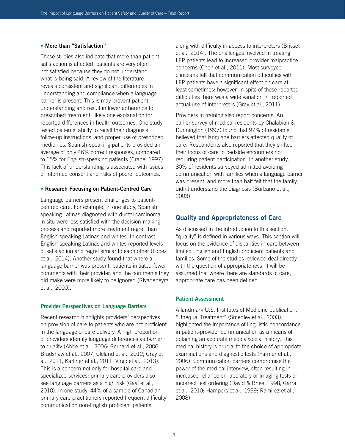#### **• More than "Satisfaction"**

These studies also indicate that more than patient satisfaction is affected: patients are very often not satisfied because they do not understand what is being said. A review of the literature reveals consistent and significant differences in understanding and compliance when a language barrier is present. This is may prevent patient understanding and result in lower adherence to prescribed treatment: likely one explanation for reported differences in health outcomes. One study tested patients' ability to recall their diagnosis, follow-up instructions, and proper use of prescribed medicines. Spanish-speaking patients provided an average of only 46% correct responses, compared to 65% for English-speaking patients (Crane, 1997). This lack of understanding is associated with issues of informed consent and risks of poorer outcomes.

#### **• Research Focusing on Patient-Centred Care**

Language barriers present challenges to patientcentred care. For example, in one study, Spanish speaking Latinas diagnosed with ductal carcinoma in situ were less satisfied with the decision-making process and reported more treatment regret than English-speaking Latinas and whites. In contrast, English-speaking Latinas and whites reported levels of satisfaction and regret similar to each other (Lopez et al., 2014). Another study found that where a language barrier was present, patients initiated fewer comments with their provider, and the comments they did make were more likely to be ignored (Rivadeneyra et al., 2000).

#### **Provider Perspectives on Language Barriers**

Recent research highlights providers' perspectives on provision of care to patients who are not proficient in the language of care delivery. A high proportion of providers identify language differences as barrier to quality (Abbe et al., 2006; Bernard et al., 2006, Bradshaw et al., 2007; Cleland et al., 2012; Gray et al., 2011; Karliner et al., 2011; Virgo et al., 2013). This is a concern not only for hospital care and specialized services: primary care providers also see language barriers as a high risk (Gaal et al., 2010). In one study, 44% of a sample of Canadian primary care practitioners reported frequent difficulty communication non-English proficient patients,

along with difficulty in access to interpreters (Brisset et al., 2014). The challenges involved in treating LEP patients lead to increased provider malpractice concerns (Chen et al., 2011). Most surveyed clinicians felt that communication difficulties with LEP patients have a significant effect on care at least sometimes: however, in spite of these reported difficulties there was a wide variation in reported actual use of interpreters (Gray et al., 2011).

Providers in training also report concerns. An earlier survey of medical residents by Chalabian & Dunnington (1997) found that 97% of residents believed that language barriers affected quality of care. Respondents also reported that they shifted their focus of care to bedside encounters not requiring patient participation. In another study, 80% of residents surveyed admitted avoiding communication with families when a language barrier was present, and more than half felt that the family didn't understand the diagnosis (Burbano et al., 2003).

#### **Quality and Appropriateness of Care**

As discussed in the introduction to this section, "quality" is defined in various ways. This section will focus on the evidence of disparities in care between limited English and English proficient patients and families. Some of the studies reviewed deal directly with the question of appropriateness: It will be assumed that where there are standards of care, appropriate care has been defined.

#### **Patient Assessment**

A landmark U.S. Institutes of Medicine publication, "Unequal Treatment" (Smedley et al., 2003), highlighted the importance of linguistic concordance in patient-provider communication as a means of obtaining an accurate medical/social history. This medical history is crucial to the choice of appropriate examinations and diagnostic tests (Farmer et al., 2006). Communication barriers compromise the power of the medical interview, often resulting in increased reliance on laboratory or imaging tests or incorrect test ordering (David & Rhee, 1998; Garra et al., 2010; Hampers et al., 1999; Ramirez et al., 2008).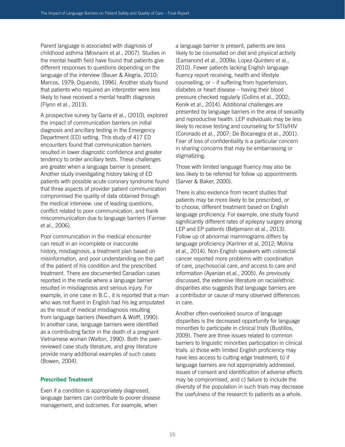Parent language is associated with diagnosis of childhood asthma (Mosnaim et al., 2007). Studies in the mental health field have found that patients give different responses to questions depending on the language of the interview (Bauer & Alegria, 2010; Marcos, 1979; Oquendo, 1996). Another study found that patients who required an interpreter were less likely to have received a mental health diagnosis (Flynn et al., 2013).

A prospective survey by Garra et al., (2010), explored the impact of communication barriers on initial diagnosis and ancillary testing in the Emergency Department (ED) setting. This study of 417 ED encounters found that communication barriers resulted in lower diagnostic confidence and greater tendency to order ancillary tests. These challenges are greater when a language barrier is present. Another study investigating history taking of ED patients with possible acute coronary syndrome found that three aspects of provider patient communication compromised the quality of data obtained through the medical interview: use of leading questions, conflict related to poor communication, and frank miscommunication due to language barriers (Farmer et al., 2006).

Poor communication in the medical encounter can result in an incomplete or inaccurate history, misdiagnosis, a treatment plan based on misinformation, and poor understanding on the part of the patient of his condition and the prescribed treatment. There are documented Canadian cases reported in the media where a language barrier resulted in misdiagnosis and serious injury. For example, in one case in B.C., it is reported that a man who was not fluent in English had his leg amputated as the result of medical misdiagnosis resulting from language barriers (Needham & Wolff, 1990). In another case, language barriers were identified as a contributing factor in the death of a pregnant Vietnamese woman (Walton, 1990). Both the peerreviewed case study literature, and grey literature provide many additional examples of such cases (Bowen, 2004).

#### **Prescribed Treatment**

Even if a condition is appropriately diagnosed, language barriers can contribute to poorer disease management, and outcomes. For example, when

a language barrier is present, patients are less likely to be counselled on diet and physical activity (Eamanond et al., 2009a; Lopez-Quintero et al., 2010). Fewer patients lacking English language fluency report receiving, health and lifestyle counselling, or – if suffering from hypertension, diabetes or heart disease – having their blood pressure checked regularly (Collins et al., 2002; Kenik et al., 2014). Additional challenges are presented by language barriers in the area of sexuality and reproductive health. LEP individuals may be less likely to receive testing and counseling for STIs/HIV (Coronado et al., 2007; De Bocanegra et al., 2001). Fear of loss of confidentiality is a particular concern in sharing concerns that may be embarrassing or stigmatizing.

Those with limited language fluency may also be less likely to be referred for follow up appointments (Sarver & Baker, 2000).

There is also evidence from recent studies that patients may be more likely to be prescribed, or to choose, different treatment based on English language proficiency. For example, one study found significantly different rates of epilepsy surgery among LEP and EP patients (Betjemann et al., 2013). Follow up of abnormal mammograms differs by language proficiency (Karliner et al, 2012; Molina et al., 2014). Non-English speakers with colorectal cancer reported more problems with coordination of care, psychosocial care, and access to care and information (Ayanian et.al., 2005). As previously discussed, the extensive literature on racial/ethnic disparities also suggests that language barriers are a contributor or cause of many observed differences in care.

Another often-overlooked source of language disparities is the decreased opportunity for language minorities to participate in clinical trials (Bustillos, 2009). There are three issues related to common barriers to linguistic minorities participation in clinical trials: a) those with limited English proficiency may have less access to cutting edge treatment; b) if language barriers are not appropriately addressed, issues of consent and identification of adverse effects may be compromised, and c) failure to include the diversity of the population in such trials may decrease the usefulness of the research to patients as a whole.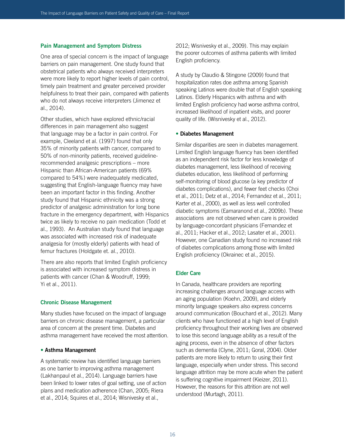#### **Pain Management and Symptom Distress**

One area of special concern is the impact of language barriers on pain management. One study found that obstetrical patients who always received interpreters were more likely to report higher levels of pain control, timely pain treatment and greater perceived provider helpfulness to treat their pain, compared with patients who do not always receive interpreters (Jimenez et al., 2014).

Other studies, which have explored ethnic/racial differences in pain management also suggest that language may be a factor in pain control. For example, Cleeland et al. (1997) found that only 35% of minority patients with cancer, compared to 50% of non-minority patients, received guidelinerecommended analgesic prescriptions – more Hispanic than African-American patients (69% compared to 54%) were inadequately medicated, suggesting that English-language fluency may have been an important factor in this finding. Another study found that Hispanic ethnicity was a strong predictor of analgesic administration for long bone fracture in the emergency department, with Hispanics twice as likely to receive no pain medication (Todd et al., 1993). An Australian study found that language was associated with increased risk of inadequate analgesia for (mostly elderly) patients with head of femur fractures (Holdgate et. al., 2010).

There are also reports that limited English proficiency is associated with increased symptom distress in patients with cancer (Chan & Woodruff, 1999; Yi et al., 2011).

#### **Chronic Disease Management**

Many studies have focused on the impact of language barriers on chronic disease management, a particular area of concern at the present time. Diabetes and asthma management have received the most attention.

#### **• Asthma Management**

A systematic review has identified language barriers as one barrier to improving asthma management (Lakhanpaul et al., 2014). Language barriers have been linked to lower rates of goal setting, use of action plans and medication adherence (Chan, 2005; Riera et al., 2014; Squires et al., 2014; Wisnivesky et al.,

2012; Wisnivesky et al., 2009). This may explain the poorer outcomes of asthma patients with limited English proficiency.

A study by Claudio & Stingone (2009) found that hospitalization rates doe asthma among Spanish speaking Latinos were double that of English speaking Latinos. Elderly Hispanics with asthma and with limited English proficiency had worse asthma control, increased likelihood of inpatient visits, and poorer quality of life. (Wisnivesky et al., 2012).

#### **• Diabetes Management**

Similar disparities are seen in diabetes management. Limited English language fluency has been identified as an independent risk factor for less knowledge of diabetes management, less likelihood of receiving diabetes education, less likelihood of performing self-monitoring of blood glucose (a key predictor of diabetes complications), and fewer feet checks (Choi et al., 2011; Detz et al., 2014; Fernandez et al., 2011; Karter et al., 2000), as well as less well controlled diabetic symptoms (Eamaranond et al., 2009b). These associations are not observed when care is provided by language-concordant physicians (Fernandez et al., 2011; Hacker et al., 2012; Lasater et al., 2001). However, one Canadian study found no increased risk of diabetes complications among those with limited English proficiency (Okrainec et al., 2015).

#### **Elder Care**

In Canada, healthcare providers are reporting increasing challenges around language access with an aging population (Koehn, 2009), and elderly minority language speakers also express concerns around communication (Bouchard et al., 2012). Many clients who have functioned at a high level of English proficiency throughout their working lives are observed to lose this second language ability as a result of the aging process, even in the absence of other factors such as dementia (Clyne, 2011; Goral, 2004). Older patients are more likely to return to using their first language, especially when under stress. This second language attrition may be more acute when the patient is suffering cognitive impairment (Kieizer, 2011). However, the reasons for this attrition are not well understood (Murtagh, 2011).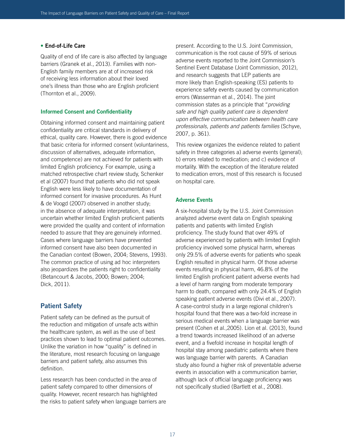#### **• End-of-Life Care**

Quality of end of life care is also affected by language barriers (Granek et al., 2013). Families with non-English family members are at of increased risk of receiving less information about their loved one's illness than those who are English proficient (Thornton et al., 2009).

#### **Informed Consent and Confidentiality**

Obtaining informed consent and maintaining patient confidentiality are critical standards in delivery of ethical, quality care. However, there is good evidence that basic criteria for informed consent (voluntariness, discussion of alternatives, adequate information, and competence) are not achieved for patients with limited English proficiency. For example, using a matched retrospective chart review study, Schenker et al (2007) found that patients who did not speak English were less likely to have documentation of informed consent for invasive procedures. As Hunt & de Voogd (2007) observed in another study; in the absence of adequate interpretation, it was uncertain whether limited English proficient patients were provided the quality and content of information needed to assure that they are genuinely informed. Cases where language barriers have prevented informed consent have also been documented in the Canadian context (Bowen, 2004; Stevens, 1993). The common practice of using ad hoc interpreters also jeopardizes the patients right to confidentiality (Betancourt & Jacobs, 2000; Bowen; 2004; Dick, 2011).

#### **Patient Safety**

Patient safety can be defined as the pursuit of the reduction and mitigation of unsafe acts within the healthcare system, as well as the use of best practices shown to lead to optimal patient outcomes. Unlike the variation in how "quality" is defined in the literature, most research focusing on language barriers and patient safety, also assumes this definition.

Less research has been conducted in the area of patient safety compared to other dimensions of quality. However, recent research has highlighted the risks to patient safety when language barriers are present. According to the U.S. Joint Commission, communication is the root cause of 59% of serious adverse events reported to the Joint Commission's Sentinel Event Database (Joint Commission, 2012), and research suggests that LEP patients are more likely than English-speaking (ES) patients to experience safety events caused by communication errors (Wasserman et al., 2014). The joint commission states as a principle that "*providing safe and high quality patient care is dependent upon effective communication between health care professionals, patients and patients families* (Schyve, 2007, p. 361).

This review organizes the evidence related to patient safety in three categories a) adverse events (general); b) errors related to medication; and c) evidence of mortality. With the exception of the literature related to medication errors, most of this research is focused on hospital care.

#### **Adverse Events**

A six-hospital study by the U.S. Joint Commission analyzed adverse event data on English speaking patients and patients with limited English proficiency. The study found that over 49% of adverse experienced by patients with limited English proficiency involved some physical harm, whereas only 29.5% of adverse events for patients who speak English resulted in physical harm. Of those adverse events resulting in physical harm, 46.8% of the limited English proficient patient adverse events had a level of harm ranging from moderate temporary harm to death, compared with only 24.4% of English speaking patient adverse events (Divi et al., 2007). A case-control study in a large regional children's hospital found that there was a two-fold increase in serious medical events when a language barrier was present (Cohen et al.,2005). Lion et al. (2013), found a trend towards increased likelihood of an adverse event, and a fivefold increase in hospital length of hospital stay among paediatric patients where there was language barrier with parents. A Canadian study also found a higher risk of preventable adverse events in association with a communication barrier, although lack of official language proficiency was not specifically studied (Bartlett et al., 2008).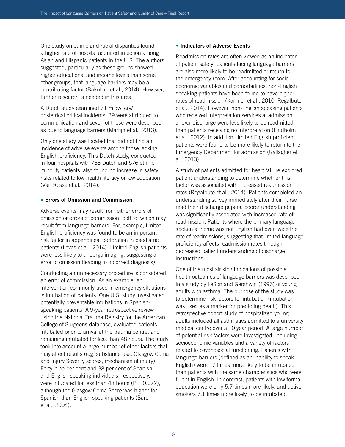One study on ethnic and racial disparities found a higher rate of hospital acquired infection among Asian and Hispanic patients in the U.S. The authors suggested, particularly as these groups showed higher educational and income levels than some other groups, that language barriers may be a contributing factor (Bakullari et al., 2014). However, further research is needed in this area.

A Dutch study examined 71 midwifery/ obstetrical critical incidents: 39 were attributed to communication and seven of these were described as due to language barriers (Martijn et al., 2013).

Only one study was located that did not find an incidence of adverse events among those lacking English proficiency. This Dutch study, conducted in four hospitals with 763 Dutch and 576 ethnic minority patients, also found no increase in safety risks related to low health literacy or low education (Van Rosse et al., 2014).

#### **• Errors of Omission and Commission**

Adverse events may result from either errors of omission or errors of commission, both of which may result from language barriers. For, example, limited English proficiency was found to be an important risk factor in appendiceal perforation in paediatric patients (Levas et al., 2014). Limited English patients were less likely to undergo imaging, suggesting an error of omission (leading to incorrect diagnosis).

Conducting an unnecessary procedure is considered an error of commission. As an example, an intervention commonly used in emergency situations is intubation of patients. One U.S. study investigated potentially preventable intubations in Spanishspeaking patients. A 9-year retrospective review using the National Trauma Registry for the American College of Surgeons database, evaluated patients intubated prior to arrival at the trauma centre, and remaining intubated for less than 48 hours. The study took into account a large number of other factors that may affect results (e.g. substance use, Glasgow Coma and Injury Severity scores, mechanism of injury). Forty-nine per cent and 38 per cent of Spanish and English speaking individuals, respectively, were intubated for less than 48 hours ( $P = 0.072$ ), although the Glasgow Coma Score was higher for Spanish than English speaking patients (Bard et al., 2004).

#### • **Indicators of Adverse Events**

Readmission rates are often viewed as an indicator of patient safety: patients facing language barriers are also more likely to be readmitted or return to the emergency room. After accounting for socioeconomic variables and comorbidities, non-English speaking patients have been found to have higher rates of readmission (Karliner et al., 2010; Regalbuto et al., 2014). However, non-English speaking patients who received interpretation services at admission and/or discharge were less likely to be readmitted than patients receiving no interpretation (Lindholm et al., 2012). In addition, limited English proficient patients were found to be more likely to return to the Emergency Department for admission (Gallagher et al., 2013).

A study of patients admitted for heart failure explored patient understanding to determine whether this factor was associated with increased readmission rates (Regalbuto et al., 2014). Patients completed an understanding survey immediately after their nurse read their discharge papers: poorer understanding was significantly associated with increased rate of readmission. Patients where the primary language spoken at home was not English had over twice the rate of readmissions, suggesting that limited language proficiency affects readmission rates through decreased patient understanding of discharge instructions.

One of the most striking indications of possible health outcomes of language barriers was described in a study by LeSon and Gershwin (1996) of young adults with asthma. The purpose of the study was to determine risk factors for intubation (intubation was used as a marker for predicting death). This retrospective cohort study of hospitalized young adults included all asthmatics admitted to a university medical centre over a 10 year period. A large number of potential risk factors were investigated, including socioeconomic variables and a variety of factors related to psychosocial functioning. Patients with language barriers (defined as an inability to speak English) were 17 times more likely to be intubated than patients with the same characteristics who were fluent in English. In contrast, patients with low formal education were only 5.7 times more likely, and active smokers 7.1 times more likely, to be intubated.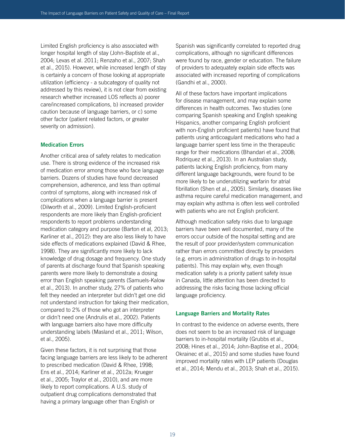Limited English proficiency is also associated with longer hospital length of stay (John-Baptiste et al., 2004; Levas et al. 2011; Renzaho et al., 2007; Shah et al., 2015). However, while increased length of stay is certainly a concern of those looking at appropriate utilization (efficiency - a subcategory of quality not addressed by this review), it is not clear from existing research whether increased LOS reflects a) poorer care/increased complications, b) increased provider caution because of language barriers, or c) some other factor (patient related factors, or greater severity on admission).

#### **Medication Errors**

Another critical area of safety relates to medication use. There is strong evidence of the increased risk of medication error among those who face language barriers. Dozens of studies have found decreased comprehension, adherence, and less than optimal control of symptoms, along with increased risk of complications when a language barrier is present (Dilworth et al., 2009). Limited English-proficient respondents are more likely than English-proficient respondents to report problems understanding medication category and purpose (Barton et al, 2013; Karliner et al., 2012): they are also less likely to have side effects of medications explained (David & Rhee, 1998). They are significantly more likely to lack knowledge of drug dosage and frequency. One study of parents at discharge found that Spanish speaking parents were more likely to demonstrate a dosing error than English speaking parents (Samuels-Kalow et al., 2013). In another study, 27% of patients who felt they needed an interpreter but didn't get one did not understand instruction for taking their medication, compared to 2% of those who got an interpreter or didn't need one (Andrulis et al., 2002). Patients with language barriers also have more difficulty understanding labels (Masland et al., 2011; Wilson, et al., 2005).

Given these factors, it is not surprising that those facing language barriers are less likely to be adherent to prescribed medication (David & Rhee, 1998; Ens et al., 2014; Karliner et al., 2012a; Krueger et al., 2005; Traylor et al., 2010), and are more likely to report complications. A U.S. study of outpatient drug complications demonstrated that having a primary language other than English or

Spanish was significantly correlated to reported drug complications, although no significant differences were found by race, gender or education. The failure of providers to adequately explain side effects was associated with increased reporting of complications (Gandhi et al., 2000).

All of these factors have important implications for disease management, and may explain some differences in health outcomes. Two studies (one comparing Spanish speaking and English speaking Hispanics, another comparing English proficient with non-English proficient patients) have found that patients using anticoagulant medications who had a language barrier spent less time in the therapeutic range for their medications (Bhandari et al., 2008; Rodriquez et al., 2013). In an Australian study, patients lacking English proficiency, from many different language backgrounds, were found to be more likely to be underutilizing warfarin for atrial fibrillation (Shen et al., 2005). Similarly, diseases like asthma require careful medication management, and may explain why asthma is often less well controlled with patients who are not English proficient.

Although medication safety risks due to language barriers have been well documented, many of the errors occur outside of the hospital setting and are the result of poor provider/system communication rather than errors committed directly by providers (e.g. errors in administration of drugs to in-hospital patients). This may explain why, even though medication safety is a priority patient safety issue in Canada, little attention has been directed to addressing the risks facing those lacking official language proficiency.

#### **Language Barriers and Mortality Rates**

In contrast to the evidence on adverse events, there does not seem to be an increased risk of language barriers to in-hospital mortality (Grubbs et al., 2008; Hines et al., 2014; John-Baptise et al., 2004; Okrainec et al., 2015) and some studies have found improved mortality rates with LEP patients (Douglas et al., 2014; Mendu et al., 2013; Shah et al., 2015).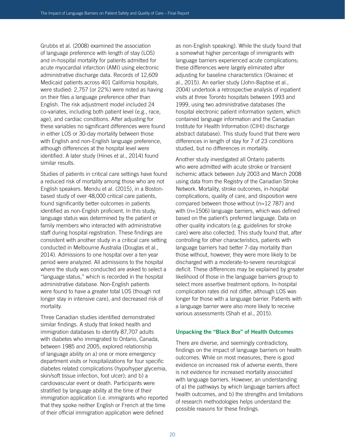Grubbs et al. (2008) examined the association of language preference with length of stay (LOS) and in-hospital mortality for patients admitted for acute myocardial infarction (AMI) using electronic administrative discharge data. Records of 12,609 Medicaid patients across 401 California hospitals, were studied: 2,757 (or 22%) were noted as having on their files a language preference other than English. The risk adjustment model included 24 co-variates, including both patient level (e.g., race, age), and cardiac conditions. After adjusting for these variables no significant differences were found in either LOS or 30-day mortality between those with English and non-English language preference, although differences at the hospital level were identified. A later study (Hines et al., 2014) found similar results.

Studies of patients in critical care settings have found a reduced risk of mortality among those who are not English speakers. Mendu et al. (2015), in a Bostonbased study of over 48,000 critical care patients, found significantly better outcomes in patients identified as non-English proficient. In this study, language status was determined by the patient or family members who interacted with administrative staff during hospital registration. These findings are consistent with another study in a critical care setting conducted in Melbourne Australia (Douglas et al., 2014). Admissions to one hospital over a ten year period were analyzed. All admissions to the hospital where the study was conducted are asked to select a "language status," which is recorded in the hospital administrative database. Non-English patients were found to have a greater total LOS (though not longer stay in intensive care), and decreased risk of mortality.

Three Canadian studies identified demonstrated similar findings. A study that linked health and immigration databases to identify 87,707 adults with diabetes who immigrated to Ontario, Canada, between 1985 and 2005, explored relationship of language ability on a) one or more emergency department visits or hospitalizations for four specific diabetes related complications (hypo/hyper glycemia, skin/soft tissue infection, foot ulcer); and b) a cardiovascular event or death. Participants were stratified by language ability at the time of their immigration application (i.e. immigrants who reported that they spoke neither English or French at the time of their official immigration application were defined

as non-English speaking). While the study found that a somewhat higher percentage of immigrants with language barriers experienced acute complications; these differences were largely eliminated after adjusting for baseline characteristics (Okrainec et al., 2015). An earlier study (John-Baptise et al., 2004) undertook a retrospective analysis of inpatient visits at three Toronto hospitals between 1993 and 1999, using two administrative databases (the hospital electronic patient information system, which contained language information and the Canadian Institute for Health Information (CIHI) discharge abstract database). This study found that there were differences in length of stay for 7 of 23 conditions studied, but no differences in mortality.

Another study investigated all Ontario patients who were admitted with acute stroke or transient ischemic attack between July 2003 and March 2008 using data from the Registry of the Canadian Stroke Network. Mortality, stroke outcomes, in-hospital complications, quality of care, and disposition were compared between those without (n=12 787) and with (n=1506) language barriers, which was defined based on the patient's preferred language. Data on other quality indicators (e.g. guidelines for stroke care) were also collected. This study found that, after controlling for other characteristics, patients with language barriers had better 7-day mortality than those without, however, they were more likely to be discharged with a moderate-to-severe neurological deficit. These differences may be explained by greater likelihood of those in the language barriers group to select more assertive treatment options. In-hospital complication rates did not differ, although LOS was longer for those with a language barrier. Patients with a language barrier were also more likely to receive various assessments (Shah et al., 2015).

#### **Unpacking the "Black Box" of Health Outcomes**

There are diverse, and seemingly contradictory, findings on the impact of language barriers on health outcomes. While on most measures, there is good evidence on increased risk of adverse events, there is not evidence for increased mortality associated with language barriers. However, an understanding of a) the pathways by which language barriers affect health outcomes, and b) the strengths and limitations of research methodologies helps understand the possible reasons for these findings.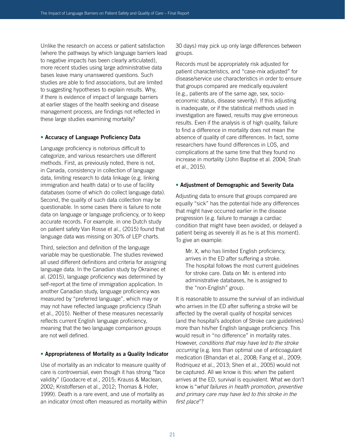Unlike the research on access or patient satisfaction (where the pathways by which language barriers lead to negative impacts has been clearly articulated), more recent studies using large administrative data bases leave many unanswered questions. Such studies are able to find associations, but are limited to suggesting hypotheses to explain results. Why, if there is evidence of impact of language barriers at earlier stages of the health seeking and disease management process, are findings not reflected in these large studies examining mortality?

#### **• Accuracy of Language Proficiency Data**

Language proficiency is notorious difficult to categorize, and various researchers use different methods. First, as previously noted, there is not, in Canada, consistency in collection of language data, limiting research to data linkage (e.g. linking immigration and health data) or to use of facility databases (some of which do collect language data). Second, the quality of such data collection may be questionable. In some cases there is failure to note data on language or language proficiency, or to keep accurate records. For example. in one Dutch study on patient safety Van Rosse et al., (2015) found that language data was missing on 30% of LEP charts.

Third, selection and definition of the language variable may be questionable. The studies reviewed all used different definitions and criteria for assigning language data. In the Canadian study by Okrainec et al. (2015), language proficiency was determined by self-report at the time of immigration application. In another Canadian study, language proficiency was measured by "preferred language", which may or may not have reflected language proficiency (Shah et al., 2015). Neither of these measures necessarily reflects current English language proficiency, meaning that the two language comparison groups are not well defined.

#### **• Appropriateness of Mortality as a Quality Indicator**

Use of mortality as an indicator to measure quality of care is controversial, even though it has strong "face validity" (Goodacre et al., 2015; Krauss & Maclean, 2002; Kristoffersen et al., 2012; Thomas & Hofer, 1999). Death is a rare event, and use of mortality as an indicator (most often measured as mortality within

30 days) may pick up only large differences between groups.

Records must be appropriately risk adjusted for patient characteristics, and "case-mix adjusted" for disease/service use characteristics in order to ensure that groups compared are medically equivalent (e.g., patients are of the same age, sex, socioeconomic status, disease severity). If this adjusting is inadequate, or if the statistical methods used in investigation are flawed, results may give erroneous results. Even if the analysis is of high quality, failure to find a difference in mortality does not mean the absence of quality of care differences. In fact, some researchers have found differences in LOS, and complications at the same time that they found no increase in mortality (John Baptise et al. 2004; Shah et al., 2015).

#### **• Adjustment of Demographic and Severity Data**

Adjusting data to ensure that groups compared are equally "sick" has the potential hide any differences that might have occurred earlier in the disease progression (e.g. failure to manage a cardiac condition that might have been avoided, or delayed a patient being as severely ill as he is at this moment). To give an example:

Mr. X, who has limited English proficiency, arrives in the ED after suffering a stroke. The hospital follows the most current guidelines for stroke care. Data on Mr. is entered into administrative databases, he is assigned to the "non-English" group.

It is reasonable to assume the survival of an individual who arrives in the ED after suffering a stroke will be affected by the overall quality of hospital services (and the hospital's adoption of Stroke care guidelines) more than his/her English language proficiency. This would result in "no difference" in mortality rates. However, *conditions that may have led to the stroke occurring* (e.g. less than optimal use of anticoagulant medication (Bhandari et al., 2008; Fang et al., 2009; Rodriquez et al., 2013; Shen et al., 2005) would not be captured. All we know is this: when the patient arrives at the ED, survival is equivalent. What we don't know is "*what failures in health promotion, preventive and primary care may have led to this stroke in the first place*"?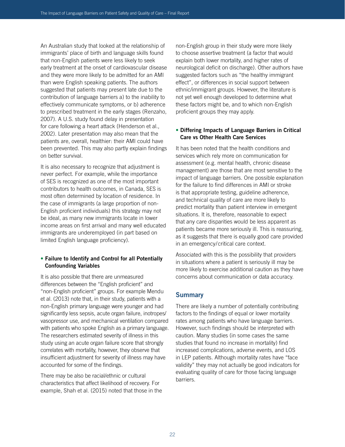An Australian study that looked at the relationship of immigrants' place of birth and language skills found that non-English patients were less likely to seek early treatment at the onset of cardiovascular disease and they were more likely to be admitted for an AMI than were English speaking patients. The authors suggested that patients may present late due to the contribution of language barriers a) to the inability to effectively communicate symptoms, or b) adherence to prescribed treatment in the early stages (Renzaho, 2007). A U.S. study found delay in presentation for care following a heart attack (Henderson et al., 2002). Later presentation may also mean that the patients are, overall, healthier: their AMI could have been prevented. This may also partly explain findings on better survival.

It is also necessary to recognize that adjustment is never perfect. For example, while the importance of SES is recognized as one of the most important contributors to health outcomes, in Canada, SES is most often determined by location of residence. In the case of immigrants (a large proportion of non-English proficient individuals) this strategy may not be ideal, as many new immigrants locate in lower income areas on first arrival and many well educated immigrants are underemployed (in part based on limited English language proficiency).

#### **• Failure to Identify and Control for all Potentially Confounding Variables**

It is also possible that there are unmeasured differences between the "English proficient" and "non-English proficient" groups. For example Mendu et al. (2013) note that, in their study, patients with a non-English primary language were younger and had significantly less sepsis, acute organ failure, inotropes/ vasopressor use, and mechanical ventilation compared with patients who spoke English as a primary language. The researchers estimated severity of illness in this study using an acute organ failure score that strongly correlates with mortality, however, they observe that insufficient adjustment for severity of illness may have accounted for some of the findings.

There may be also be racial/ethnic or cultural characteristics that affect likelihood of recovery. For example, Shah et al. (2015) noted that those in the

non-English group in their study were more likely to choose assertive treatment (a factor that would explain both lower mortality, and higher rates of neurological deficit on discharge). Other authors have suggested factors such as "the healthy immigrant effect", or differences in social support between ethnic/immigrant groups. However, the literature is not yet well enough developed to determine what these factors might be, and to which non-English proficient groups they may apply.

#### **• Differing Impacts of Language Barriers in Critical Care vs Other Health Care Services**

It has been noted that the health conditions and services which rely more on communication for assessment (e.g. mental health, chronic disease management) are those that are most sensitive to the impact of language barriers. One possible explanation for the failure to find differences in AMI or stroke is that appropriate testing, guideline adherence, and technical quality of care are more likely to predict mortality than patient interview in emergent situations. It is, therefore, reasonable to expect that any care disparities would be less apparent as patients became more seriously ill. This is reassuring, as it suggests that there is equally good care provided in an emergency/critical care context.

Associated with this is the possibility that providers in situations where a patient is seriously ill may be more likely to exercise additional caution as they have concerns about communication or data accuracy.

### **Summary**

There are likely a number of potentially contributing factors to the findings of equal or lower mortality rates among patients who have language barriers. However, such findings should be interpreted with caution. Many studies (in some cases the same studies that found no increase in mortality) find increased complications, adverse events, and LOS in LEP patients. Although mortality rates have "face validity" they may not actually be good indicators for evaluating quality of care for those facing language barriers.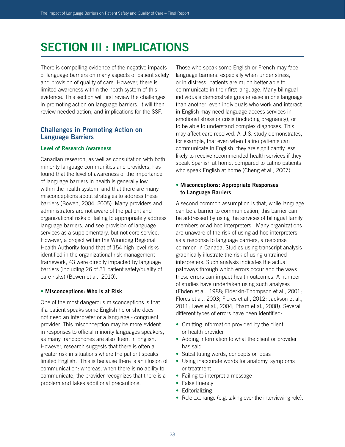## **SECTION III : IMPLICATIONS**

There is compelling evidence of the negative impacts of language barriers on many aspects of patient safety and provision of quality of care. However, there is limited awareness within the heath system of this evidence. This section will first review the challenges in promoting action on language barriers. It will then review needed action, and implications for the SSF.

#### **Challenges in Promoting Action on Language Barriers**

#### **Level of Research Awareness**

Canadian research, as well as consultation with both minority language communities and providers, has found that the level of awareness of the importance of language barriers in health is generally low within the health system, and that there are many misconceptions about strategies to address these barriers (Bowen, 2004, 2005). Many providers and administrators are not aware of the patient and organizational risks of failing to appropriately address language barriers, and see provision of language services as a supplementary, but not core service. However, a project within the Winnipeg Regional Health Authority found that of 154 high level risks identified in the organizational risk management framework, 43 were directly impacted by language barriers (including 26 of 31 patient safety/quality of care risks) (Bowen et al., 2010).

#### **• Misconceptions: Who is at Risk**

One of the most dangerous misconceptions is that if a patient speaks some English he or she does not need an interpreter or a language - congruent provider. This misconception may be more evident in responses to official minority languages speakers, as many francophones are also fluent in English. However, research suggests that there is often a greater risk in situations where the patient speaks limited English. This is because there is an illusion of communication: whereas, when there is no ability to communicate, the provider recognizes that there is a problem and takes additional precautions.

Those who speak some English or French may face language barriers: especially when under stress, or in distress, patients are much better able to communicate in their first language. Many bilingual individuals demonstrate greater ease in one language than another: even individuals who work and interact in English may need language access services in emotional stress or crisis (including pregnancy), or to be able to understand complex diagnoses. This may affect care received. A U.S. study demonstrates, for example, that even when Latino patients can communicate in English, they are significantly less likely to receive recommended health services if they speak Spanish at home, compared to Latino patients who speak English at home (Cheng et al., 2007).

#### **• Misconceptions: Appropriate Responses to Language Barriers**

A second common assumption is that, while language can be a barrier to communication, this barrier can be addressed by using the services of bilingual family members or ad hoc interpreters. Many organizations are unaware of the risk of using ad hoc interpreters as a response to language barriers, a response common in Canada. Studies using transcript analysis graphically illustrate the risk of using untrained interpreters. Such analysis indicates the actual pathways through which errors occur and the ways these errors can impact health outcomes. A number of studies have undertaken using such analyses (Ebden et al., 1988; Elderkin-Thompson et al., 2001; Flores et al., 2003; Flores et al., 2012; Jackson et al., 2011; Laws et al., 2004; Pham et al., 2008). Several different types of errors have been identified:

- Omitting information provided by the client or health provider
- Adding information to what the client or provider has said
- Substituting words, concepts or ideas
- Using inaccurate words for anatomy, symptoms or treatment
- Failing to interpret a message
- False fluency
- Editorializing
- Role exchange (e.g. taking over the interviewing role).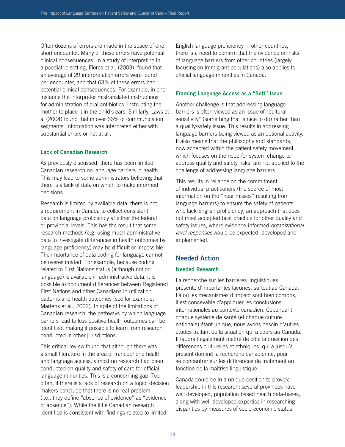Often dozens of errors are made in the space of one short encounter. Many of these errors have potential clinical consequences. In a study of interpreting in a paediatric setting, Flores et al. (2003), found that an average of 29 interpretation errors were found per encounter, and that 63% of these errors had potential clinical consequences. For example, in one instance the interpreter mistranslated instructions for administration of oral antibiotics, instructing the mother to place it in the child's ears. Similarly, Laws et al (2004) found that in over 66% of communication segments, information was interpreted either with substantial errors or not at all.

#### **Lack of Canadian Research**

As previously discussed, there has been limited Canadian research on language barriers in health. This may lead to some administrators believing that there is a lack of data on which to make informed decisions.

Research is limited by available data: there is not a requirement in Canada to collect consistent data on language proficiency at either the federal or provincial levels. This has the result that some research methods (e.g. using much administrative data to investigate differences in health outcomes by language proficiency) may be difficult or impossible. The importance of data coding for language cannot be overestimated. For example, because coding related to First Nations status (although not on language) is available in administrative data, it is possible to document differences between Registered First Nations and other Canadians in utilization patterns and health outcomes (see for example, Martens et al., 2002). In spite of the limitations of Canadian research, the pathways by which language barriers lead to less positive health outcomes can be identified, making it possible to learn from research conducted in other jurisdictions.

This critical review found that although there was a small literature in the area of francophone health and language access, almost no research had been conducted on quality and safety of care for official language minorities. This is a concerning gap. Too often, if there is a lack of research on a topic, decision makers conclude that there is no real problem (i.e., they define "absence of evidence" as "evidence of absence"). While the little Canadian research identified is consistent with findings related to limited

English language proficiency in other countries, there is a need to confirm that the evidence on risks of language barriers from other countries (largely focusing on immigrant populations) also applies to official language minorities in Canada.

#### **Framing Language Access as a "Soft" Issue**

Another challenge is that addressing language barriers is often viewed as an issue of "cultural sensitivity" (something that is nice to do) rather than a quality/safety issue. This results in addressing language barriers being viewed as an optional activity. It also means that the philosophy and standards, now accepted within the patient safety movement, which focuses on the need for system change to address quality and safety risks, are not applied to the challenge of addressing language barriers.

This results in reliance on the commitment of individual practitioners (the source of most information on the "near misses" resulting from language barriers) to ensure the safety of patients who lack English proficiency; an approach that does not meet accepted best practice for other quality and safety issues, where evidence-informed *organizational level responses* would be expected, developed and implemented.

#### **Needed Action**

#### **Needed Research**

La recherche sur les barrières linguistiques présente d'importantes lacunes, surtout au Canada. Là où les mécanismes d'impact sont bien compris, il est concevable d'appliquer les conclusions internationales au contexte canadien. Cependant, chaque système de santé (et chaque culture nationale) étant unique, nous avons besoin d'autres études traitant de la situation qui a cours au Canada. Il faudrait également mettre de côté la question des différences culturelles et ethniques, qui a jusqu'à présent dominé la recherche canadienne, pour se concentrer sur les différences de traitement en fonction de la maîtrise linguistique.

Canada could be in a unique position to provide leadership in this research: several provinces have well developed, population based health data-bases, along with well-developed expertise in researching disparities by measures of socio-economic status.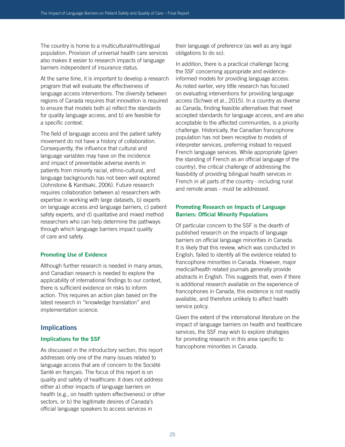The country is home to a multicultural/multilingual population. Provision of universal health care services also makes it easier to research impacts of language barriers independent of insurance status.

At the same time, it is important to develop a research program that will evaluate the effectiveness of language access interventions. The diversity between regions of Canada requires that innovation is required to ensure that models both a) reflect the standards for quality language access, and b) are feasible for a specific context.

The field of language access and the patient safety movement do not have a history of collaboration. Consequently, the influence that cultural and language variables may have on the incidence and impact of preventable adverse events in patients from minority racial, ethno-cultural, and language backgrounds has not been well explored (Johnstone & Kanitsaki, 2006). Future research requires collaboration between a) researchers with expertise in working with large datasets, b) experts on language access and language barriers, c) patient safety experts, and d) qualitative and mixed method researchers who can help determine the pathways through which language barriers impact quality of care and safety.

#### **Promoting Use of Evidence**

Although further research is needed in many areas, and Canadian research is needed to explore the applicability of international findings to our context, there is sufficient evidence on risks to inform action. This requires an action plan based on the latest research in "knowledge translation" and implementation science.

#### **Implications**

#### **Implications for the SSF**

As discussed in the introductory section, this report addresses only one of the many issues related to language access that are of concern to the Société Santé en français. The focus of this report is on quality and safety of healthcare: it does not address either a) other impacts of language barriers on health (e.g., on health system effectiveness) or other sectors, or b) the legitimate desires of Canada's official language speakers to access services in

their language of preference (as well as any legal obligations to do so).

In addition, there is a practical challenge facing the SSF concerning appropriate and evidenceinformed models for providing language access. As noted earlier, very little research has focused on evaluating interventions for providing language access (Schwei et al., 2015). In a country as diverse as Canada, finding feasible alternatives that meet accepted standards for language access, and are also acceptable to the affected communities, is a priority challenge. Historically, the Canadian francophone population has not been receptive to models of interpreter services, preferring instead to request French language services. While appropriate (given the standing of French as an official language of the country), the critical challenge of addressing the feasibility of providing bilingual health services in French in all parts of the country - including rural and remote areas - must be addressed.

#### **Promoting Research on Impacts of Language Barriers: Official Minority Populations**

Of particular concern to the SSF is the dearth of published research on the impacts of language barriers on official language minorities in Canada. It is likely that this review, which was conducted in English, failed to identify all the evidence related to francophone minorities in Canada. However, major medical/health related journals generally provide abstracts in English. This suggests that, even if there is additional research available on the experience of francophones in Canada, this evidence is not readily available, and therefore unlikely to affect health service policy.

Given the extent of the international literature on the impact of language barriers on health and healthcare services, the SSF may wish to explore strategies for promoting research in this area specific to francophone minorities in Canada.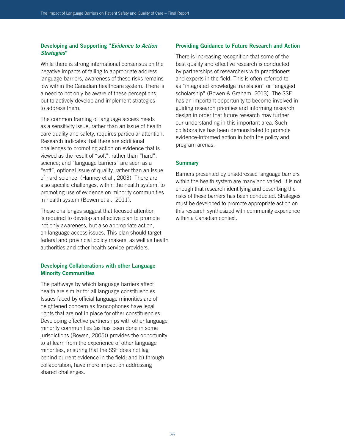#### **Developing and Supporting "***Evidence to Action Strategies***"**

While there is strong international consensus on the negative impacts of failing to appropriate address language barriers, awareness of these risks remains low within the Canadian healthcare system. There is a need to not only be aware of these perceptions, but to actively develop and implement strategies to address them.

The common framing of language access needs as a sensitivity issue, rather than an issue of health care quality and safety, requires particular attention. Research indicates that there are additional challenges to promoting action on evidence that is viewed as the result of "soft", rather than "hard", science; and "language barriers" are seen as a "soft", optional issue of quality, rather than an issue of hard science (Hanney et al., 2003). There are also specific challenges, within the health system, to promoting use of evidence on minority communities in health system (Bowen et al., 2011).

These challenges suggest that focused attention is required to develop an effective plan to promote not only awareness, but also appropriate action, on language access issues. This plan should target federal and provincial policy makers, as well as health authorities and other health service providers.

#### **Developing Collaborations with other Language Minority Communities**

The pathways by which language barriers affect health are similar for all language constituencies. Issues faced by official language minorities are of heightened concern as francophones have legal rights that are not in place for other constituencies. Developing effective partnerships with other language minority communities (as has been done in some jurisdictions (Bowen, 2005)) provides the opportunity to a) learn from the experience of other language minorities, ensuring that the SSF does not lag behind current evidence in the field; and b) through collaboration, have more impact on addressing shared challenges.

#### **Providing Guidance to Future Research and Action**

There is increasing recognition that some of the best quality and effective research is conducted by partnerships of researchers with practitioners and experts in the field. This is often referred to as "integrated knowledge translation" or "engaged scholarship" (Bowen & Graham, 2013). The SSF has an important opportunity to become involved in guiding research priorities and informing research design in order that future research may further our understanding in this important area. Such collaborative has been demonstrated to promote evidence-informed action in both the policy and program arenas.

#### **Summary**

Barriers presented by unaddressed language barriers within the health system are many and varied. It is not enough that research identifying and describing the risks of these barriers has been conducted. Strategies must be developed to promote appropriate action on this research synthesized with community experience within a Canadian context.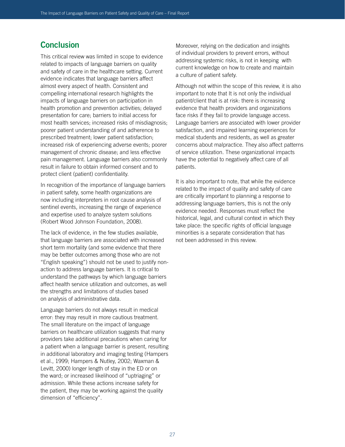## **Conclusion**

This critical review was limited in scope to evidence related to impacts of language barriers on quality and safety of care in the healthcare setting. Current evidence indicates that language barriers affect almost every aspect of health. Consistent and compelling international research highlights the impacts of language barriers on participation in health promotion and prevention activities; delayed presentation for care; barriers to initial access for most health services; increased risks of misdiagnosis; poorer patient understanding of and adherence to prescribed treatment; lower patient satisfaction; increased risk of experiencing adverse events; poorer management of chronic disease; and less effective pain management. Language barriers also commonly result in failure to obtain informed consent and to protect client (patient) confidentiality.

In recognition of the importance of language barriers in patient safety, some health organizations are now including interpreters in root cause analysis of sentinel events, increasing the range of experience and expertise used to analyze system solutions (Robert Wood Johnson Foundation, 2008).

The lack of evidence, in the few studies available, that language barriers are associated with increased short term mortality (and some evidence that there may be better outcomes among those who are not "English speaking") should not be used to justify nonaction to address language barriers. It is critical to understand the pathways by which language barriers affect health service utilization and outcomes, as well the strengths and limitations of studies based on analysis of administrative data.

Language barriers do not always result in medical error: they may result in more cautious treatment. The small literature on the impact of language barriers on healthcare utilization suggests that many providers take additional precautions when caring for a patient when a language barrier is present, resulting in additional laboratory and imaging testing (Hampers et al., 1999; Hampers & Nutley, 2002; Waxman & Levitt, 2000) longer length of stay in the ED or on the ward; or increased likelihood of "uptriaging" or admission. While these actions increase safety for the patient, they may be working against the quality dimension of "efficiency".

Moreover, relying on the dedication and insights of individual providers to prevent errors, without addressing systemic risks, is not in keeping with current knowledge on how to create and maintain a culture of patient safety.

Although not within the scope of this review, it is also important to note that It is not only the individual patient/client that is at risk: there is increasing evidence that health providers and organizations face risks if they fail to provide language access. Language barriers are associated with lower provider satisfaction, and impaired learning experiences for medical students and residents, as well as greater concerns about malpractice. They also affect patterns of service utilization. These organizational impacts have the potential to negatively affect care of all patients.

It is also important to note, that while the evidence related to the impact of quality and safety of care are critically important to planning a response to addressing language barriers, this is not the only evidence needed. Responses must reflect the historical, legal, and cultural context in which they take place: the specific rights of official language minorities is a separate consideration that has not been addressed in this review.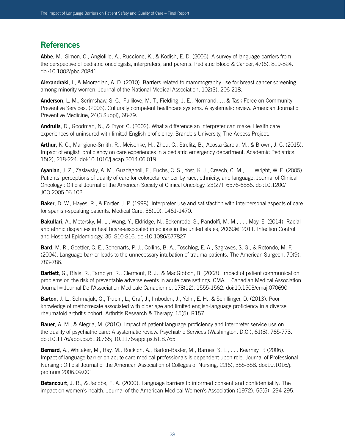## **References**

**Abbe**, M., Simon, C., Angiolillo, A., Ruccione, K., & Kodish, E. D. (2006). A survey of language barriers from the perspective of pediatric oncologists, interpreters, and parents. Pediatric Blood & Cancer, 47(6), 819-824. doi:10.1002/pbc.20841

**Alexandraki**, I., & Mooradian, A. D. (2010). Barriers related to mammography use for breast cancer screening among minority women. Journal of the National Medical Association, 102(3), 206-218.

**Anderson**, L. M., Scrimshaw, S. C., Fullilove, M. T., Fielding, J. E., Normand, J., & Task Force on Community Preventive Services. (2003). Culturally competent healthcare systems. A systematic review. American Journal of Preventive Medicine, 24(3 Suppl), 68-79.

**Andrulis**, D., Goodman, N., & Pryor, C. (2002). What a difference an interpreter can make: Health care experiences of uninsured with limited English proficiency. Brandeis University, The Access Project.

**Arthur**, K. C., Mangione-Smith, R., Meischke, H., Zhou, C., Strelitz, B., Acosta Garcia, M., & Brown, J. C. (2015). Impact of english proficiency on care experiences in a pediatric emergency department. Academic Pediatrics, 15(2), 218-224. doi:10.1016/j.acap.2014.06.019

**Ayanian**, J. Z., Zaslavsky, A. M., Guadagnoli, E., Fuchs, C. S., Yost, K. J., Creech, C. M., . . . Wright, W. E. (2005). Patients' perceptions of quality of care for colorectal cancer by race, ethnicity, and language. Journal of Clinical Oncology : Official Journal of the American Society of Clinical Oncology, 23(27), 6576-6586. doi:10.1200/ JCO.2005.06.102

**Baker**, D. W., Hayes, R., & Fortier, J. P. (1998). Interpreter use and satisfaction with interpersonal aspects of care for spanish-speaking patients. Medical Care, 36(10), 1461-1470.

**Bakullari**, A., Metersky, M. L., Wang, Y., Eldridge, N., Eckenrode, S., Pandolfi, M. M., . . . Moy, E. (2014). Racial and ethnic disparities in healthcare-associated infections in the united states, 2009†"2011. Infection Control and Hospital Epidemiology, 35, S10-S16. doi:10.1086/677827

**Bard**, M. R., Goettler, C. E., Schenarts, P. J., Collins, B. A., Toschlog, E. A., Sagraves, S. G., & Rotondo, M. F. (2004). Language barrier leads to the unnecessary intubation of trauma patients. The American Surgeon, 70(9), 783-786.

**Bartlett**, G., Blais, R., Tamblyn, R., Clermont, R. J., & MacGibbon, B. (2008). Impact of patient communication problems on the risk of preventable adverse events in acute care settings. CMAJ : Canadian Medical Association Journal = Journal De l'Association Medicale Canadienne, 178(12), 1555-1562. doi:10.1503/cmaj.070690

**Barton**, J. L., Schmajuk, G., Trupin, L., Graf, J., Imboden, J., Yelin, E. H., & Schillinger, D. (2013). Poor knowledge of methotrexate associated with older age and limited english-language proficiency in a diverse rheumatoid arthritis cohort. Arthritis Research & Therapy, 15(5), R157.

**Bauer**, A. M., & Alegria, M. (2010). Impact of patient language proficiency and interpreter service use on the quality of psychiatric care: A systematic review. Psychiatric Services (Washington, D.C.), 61(8), 765-773. doi:10.1176/appi.ps.61.8.765; 10.1176/appi.ps.61.8.765

**Bernard**, A., Whitaker, M., Ray, M., Rockich, A., Barton-Baxter, M., Barnes, S. L., . . . Kearney, P. (2006). Impact of language barrier on acute care medical professionals is dependent upon role. Journal of Professional Nursing : Official Journal of the American Association of Colleges of Nursing, 22(6), 355-358. doi:10.1016/j. profnurs.2006.09.001

**Betancourt**, J. R., & Jacobs, E. A. (2000). Language barriers to informed consent and confidentiality: The impact on women's health. Journal of the American Medical Women's Association (1972), 55(5), 294-295.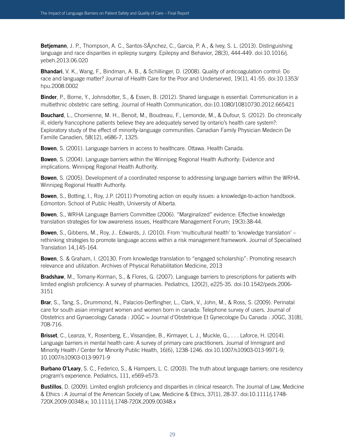**Betjemann**, J. P., Thompson, A. C., Santos-SÃ<sub>i</sub>nchez, C., Garcia, P. A., & Ivey, S. L. (2013). Distinguishing language and race disparities in epilepsy surgery. Epilepsy and Behavior, 28(3), 444-449. doi:10.1016/j. yebeh.2013.06.020

**Bhandari**, V. K., Wang, F., Bindman, A. B., & Schillinger, D. (2008). Quality of anticoagulation control: Do race and language matter? Journal of Health Care for the Poor and Underserved, 19(1), 41-55. doi:10.1353/ hpu.2008.0002

**Binder**, P., Borne, Y., Johnsdotter, S., & Essen, B. (2012). Shared language is essential: Communication in a multiethnic obstetric care setting. Journal of Health Communication, doi:10.1080/10810730.2012.665421

**Bouchard**, L., Chomienne, M. H., Benoit, M., Boudreau, F., Lemonde, M., & Dufour, S. (2012). Do chronically ill, elderly francophone patients believe they are adequately served by ontario's health care system?: Exploratory study of the effect of minority-language communities. Canadian Family Physician Medecin De Famille Canadien, 58(12), e686-7, 1325.

**Bowen**, S. (2001). Language barriers in access to healthcare. Ottawa. Health Canada.

**Bowen**, S. (2004). Language barriers within the Winnipeg Regional Health Authority: Evidence and implications. Winnipeg Regional Health Authority.

**Bowen**, S. (2005). Development of a coordinated response to addressing language barriers within the WRHA. Winnipeg Regional Health Authority.

**Bowen**, S., Botting, I., Roy, J.P. (2011) Promoting action on equity issues: a knowledge-to-action handbook. Edmonton: School of Public Health, University of Alberta.

**Bowen**, S., WRHA Language Barriers Committee (2006). "Marginalized" evidence: Effective knowledge translation strategies for low awareness issues, Healthcare Management Forum; 19(3):38-44.

**Bowen**, S., Gibbens, M., Roy, J.. Edwards, J. (2010). From 'multicultural health' to 'knowledge translation' – rethinking strategies to promote language access within a risk management framework. Journal of Specialised Translation 14,145-164.

**Bowen**, S. & Graham, I. (20130. From knowledge translation to "engaged scholarship": Promoting research relevance and utilization. Archives of Physical Rehabilitation Medicine, 2013

**Bradshaw**, M., Tomany-Korman, S., & Flores, G. (2007). Language barriers to prescriptions for patients with limited english proficiency: A survey of pharmacies. Pediatrics, 120(2), e225-35. doi:10.1542/peds.2006- 3151

**Brar**, S., Tang, S., Drummond, N., Palacios-Derflingher, L., Clark, V., John, M., & Ross, S. (2009). Perinatal care for south asian immigrant women and women born in canada: Telephone survey of users. Journal of Obstetrics and Gynaecology Canada : JOGC = Journal d'Obstetrique Et Gynecologie Du Canada : JOGC, 31(8), 708-716.

**Brisset**, C., Leanza, Y., Rosenberg, E., Vissandjee, B., Kirmayer, L. J., Muckle, G., . . . Laforce, H. (2014). Language barriers in mental health care: A survey of primary care practitioners. Journal of Immigrant and Minority Health / Center for Minority Public Health, 16(6), 1238-1246. doi:10.1007/s10903-013-9971-9; 10.1007/s10903-013-9971-9

**Burbano O'Leary**, S. C., Federico, S., & Hampers, L. C. (2003). The truth about language barriers: one residency program's experience. Pediatrics, 111, e569-e573.

**Bustillos**, D. (2009). Limited english proficiency and disparities in clinical research. The Journal of Law, Medicine & Ethics : A Journal of the American Society of Law, Medicine & Ethics, 37(1), 28-37. doi:10.1111/j.1748- 720X.2009.00348.x; 10.1111/j.1748-720X.2009.00348.x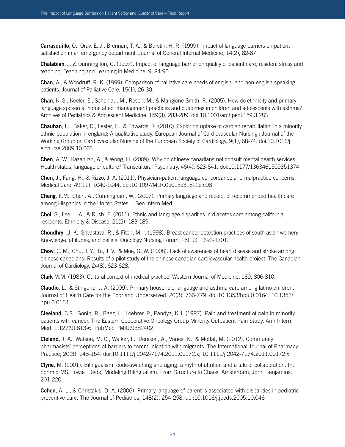**Carrasquillo**, O., Orav, E. J., Brennan, T. A., & Burstin, H. R. (1999). Impact of language barriers on patient satisfaction in an emergency department. Journal of General Internal Medicine, 14(2), 82-87.

**Chalabian**, J. & Dunning ton, G. (1997). Impact of language barrier on quality of patient care, resident stress and teaching. Teaching and Learning in Medicine, 9, 84-90.

**Chan**, A., & Woodruff, R. K. (1999). Comparison of palliative care needs of english- and non-english-speaking patients. Journal of Palliative Care, 15(1), 26-30.

**Chan**, K. S., Keeler, E., Schonlau, M., Rosen, M., & Mangione-Smith, R. (2005). How do ethnicity and primary language spoken at home affect management practices and outcomes in children and adolescents with asthma? Archives of Pediatrics & Adolescent Medicine, 159(3), 283-289. doi:10.1001/archpedi.159.3.283

**Chauhan**, U., Baker, D., Lester, H., & Edwards, R. (2010). Exploring uptake of cardiac rehabilitation in a minority ethnic population in england: A qualitative study. European Journal of Cardiovascular Nursing : Journal of the Working Group on Cardiovascular Nursing of the European Society of Cardiology, 9(1), 68-74. doi:10.1016/j. ejcnurse.2009.10.003

**Chen**, A. W., Kazanjian, A., & Wong, H. (2009). Why do chinese canadians not consult mental health services: Health status, language or culture? Transcultural Psychiatry, 46(4), 623-641. doi:10.1177/1363461509351374

**Chen**, J., Fang, H., & Rizzo, J. A. (2011). Physician-patient language concordance and malpractice concerns. Medical Care, 49(11), 1040-1044. doi:10.1097/MLR.0b013e31822efc98

**Cheng**, E.M., Chen, A., Cunningham, W.. (2007). Primary language and receipt of recommended health care among Hispanics in the United States. J Gen Intern Med..

**Choi**, S., Lee, J. A., & Rush, E. (2011). Ethnic and language disparities in diabetes care among california residents. Ethnicity & Disease, 21(2), 183-189.

**Choudhry**, U. K., Srivastava, R., & Fitch, M. I. (1998). Breast cancer detection practices of south asian women: Knowledge, attitudes, and beliefs. Oncology Nursing Forum, 25(10), 1693-1701.

**Chow**, C. M., Chu, J. Y., Tu, J. V., & Moe, G. W. (2008). Lack of awareness of heart disease and stroke among chinese canadians: Results of a pilot study of the chinese canadian cardiovascular health project. The Canadian Journal of Cardiology, 24(8), 623-628.

**Clark** M.M. (1983). Cultural context of medical practice. Western Journal of Medicine, 139, 806-810.

**Claudio**, L., & Stingone, J. A. (2009). Primary household language and asthma care among latino children. Journal of Health Care for the Poor and Underserved, 20(3), 766-779. doi:10.1353/hpu.0.0164; 10.1353/ hpu.0.0164

**Cleeland**, C.S., Gonin, R., Baez, L., Loehrer, P., Pandya, K.J. (1997). Pain and treatment of pain in minority patients with cancer. The Eastern Cooperative Oncology Group Minority Outpatient Pain Study. Ann Intern Med. 1;127(9):813-6. PubMed PMID:9382402.

**Cleland**, J. A., Watson, M. C., Walker, L., Denison, A., Vanes, N., & Moffat, M. (2012). Community pharmacists' perceptions of barriers to communication with migrants. The International Journal of Pharmacy Practice, 20(3), 148-154. doi:10.1111/j.2042-7174.2011.00172.x; 10.1111/j.2042-7174.2011.00172.x

**Clyne**, M. (2001). Bilingualism, code-switching and aging: a myth of attrition and a tale of collaboration. In: Schmid MS, Lowie L.(eds) Modeling Bilingualism. From Structure to Chaos. Amsterdam, John Benjamins. 201-220.

**Cohen**, A. L., & Christakis, D. A. (2006). Primary language of parent is associated with disparities in pediatric preventive care. The Journal of Pediatrics, 148(2), 254-258. doi:10.1016/j.jpeds.2005.10.046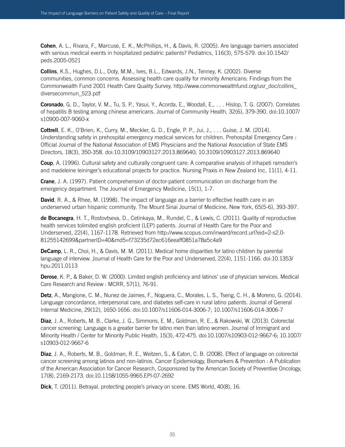**Cohen**, A. L., Rivara, F., Marcuse, E. K., McPhillips, H., & Davis, R. (2005). Are language barriers associated with serious medical events in hospitalized pediatric patients? Pediatrics, 116(3), 575-579. doi:10.1542/ peds.2005-0521

**Collins**, K.S., Hughes, D.L., Doty, M.M., Ives, B.L., Edwards, J.N., Tenney, K. (2002). Diverse communities, common concerns. Assessing health care quality for minority Americans: Findings from the Commonwealth Fund 2001 Health Care Quality Survey. http://www.commonwealthfund.org/usr\_doc/collins\_ diversecommun\_523.pdf

**Coronado**, G. D., Taylor, V. M., Tu, S. P., Yasui, Y., Acorda, E., Woodall, E., . . . Hislop, T. G. (2007). Correlates of hepatitis B testing among chinese americans. Journal of Community Health, 32(6), 379-390. doi:10.1007/ s10900-007-9060-x

**Cottrell**, E. K., O'Brien, K., Curry, M., Meckler, G. D., Engle, P. P., Jui, J., . . . Guise, J. M. (2014). Understanding safety in prehospital emergency medical services for children. Prehospital Emergency Care : Official Journal of the National Association of EMS Physicians and the National Association of State EMS Directors, 18(3), 350-358. doi:10.3109/10903127.2013.869640; 10.3109/10903127.2013.869640

**Coup**, A. (1996). Cultural safety and culturally congruent care: A comparative analysis of irihapeti ramsden's and madeleine leininger's educational projects for practice. Nursing Praxis in New Zealand Inc, 11(1), 4-11.

**Crane**, J. A. (1997). Patient comprehension of doctor-patient communication on discharge from the emergency department. The Journal of Emergency Medicine, 15(1), 1-7.

**David**, R. A., & Rhee, M. (1998). The impact of language as a barrier to effective health care in an underserved urban hispanic community. The Mount Sinai Journal of Medicine, New York, 65(5-6), 393-397.

**de Bocanegra**, H. T., Rostovtseva, D., Cetinkaya, M., Rundel, C., & Lewis, C. (2011). Quality of reproductive health services tolimited english proficient (LEP) patients. Journal of Health Care for the Poor and Underserved, 22(4), 1167-1178. Retrieved from http://www.scopus.com/inward/record.url?eid=2-s2.0- 81255142699&partnerID=40&md5=f73235d72ec616eeaff0851a78a5c4a9

**DeCamp**, L. R., Choi, H., & Davis, M. M. (2011). Medical home disparities for latino children by parental language of interview. Journal of Health Care for the Poor and Underserved, 22(4), 1151-1166. doi:10.1353/ hpu.2011.0113

**Derose**, K. P., & Baker, D. W. (2000). Limited english proficiency and latinos' use of physician services. Medical Care Research and Review : MCRR, 57(1), 76-91.

**Detz**, A., Mangione, C. M., Nunez de Jaimes, F., Noguera, C., Morales, L. S., Tseng, C. H., & Moreno, G. (2014). Language concordance, interpersonal care, and diabetes self-care in rural latino patients. Journal of General Internal Medicine, 29(12), 1650-1656. doi:10.1007/s11606-014-3006-7; 10.1007/s11606-014-3006-7

**Diaz**, J. A., Roberts, M. B., Clarke, J. G., Simmons, E. M., Goldman, R. E., & Rakowski, W. (2013). Colorectal cancer screening: Language is a greater barrier for latino men than latino women. Journal of Immigrant and Minority Health / Center for Minority Public Health, 15(3), 472-475. doi:10.1007/s10903-012-9667-6; 10.1007/ s10903-012-9667-6

**Diaz**, J. A., Roberts, M. B., Goldman, R. E., Weitzen, S., & Eaton, C. B. (2008). Effect of language on colorectal cancer screening among latinos and non-latinos. Cancer Epidemiology, Biomarkers & Prevention : A Publication of the American Association for Cancer Research, Cosponsored by the American Society of Preventive Oncology, 17(8), 2169-2173. doi:10.1158/1055-9965.EPI-07-2692

**Dick**, T. (2011). Betrayal. protecting people's privacy on scene. EMS World, 40(8), 16.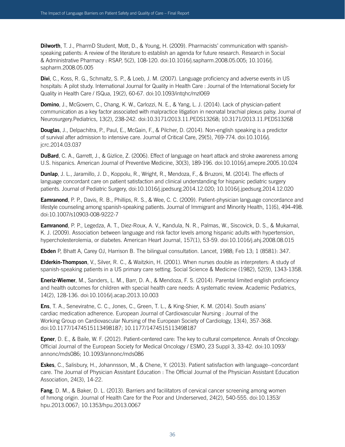**Dilworth**, T. J., PharmD Student, Mott, D., & Young, H. (2009). Pharmacists' communication with spanishspeaking patients: A review of the literature to establish an agenda for future research. Research in Social & Administrative Pharmacy : RSAP, 5(2), 108-120. doi:10.1016/j.sapharm.2008.05.005; 10.1016/j. sapharm.2008.05.005

**Divi**, C., Koss, R. G., Schmaltz, S. P., & Loeb, J. M. (2007). Language proficiency and adverse events in US hospitals: A pilot study. International Journal for Quality in Health Care : Journal of the International Society for Quality in Health Care / ISQua, 19(2), 60-67. doi:10.1093/intqhc/mzl069

**Domino**, J., McGovern, C., Chang, K. W., Carlozzi, N. E., & Yang, L. J. (2014). Lack of physician-patient communication as a key factor associated with malpractice litigation in neonatal brachial plexus palsy. Journal of Neurosurgery.Pediatrics, 13(2), 238-242. doi:10.3171/2013.11.PEDS13268; 10.3171/2013.11.PEDS13268

**Douglas**, J., Delpachitra, P., Paul, E., McGain, F., & Pilcher, D. (2014). Non-english speaking is a predictor of survival after admission to intensive care. Journal of Critical Care, 29(5), 769-774. doi:10.1016/j. jcrc.2014.03.037

**DuBard**, C. A., Garrett, J., & Gizlice, Z. (2006). Effect of language on heart attack and stroke awareness among U.S. hispanics. American Journal of Preventive Medicine, 30(3), 189-196. doi:10.1016/j.amepre.2005.10.024

**Dunlap**, J. L., Jaramillo, J. D., Koppolu, R., Wright, R., Mendoza, F., & Bruzoni, M. (2014). The effects of language concordant care on patient satisfaction and clinical understanding for hispanic pediatric surgery patients. Journal of Pediatric Surgery, doi:10.1016/j.jpedsurg.2014.12.020; 10.1016/j.jpedsurg.2014.12.020

**Eamranond**, P. P., Davis, R. B., Phillips, R. S., & Wee, C. C. (2009). Patient-physician language concordance and lifestyle counseling among spanish-speaking patients. Journal of Immigrant and Minority Health, 11(6), 494-498. doi:10.1007/s10903-008-9222-7

**Eamranond**, P. P., Legedza, A. T., Diez-Roux, A. V., Kandula, N. R., Palmas, W., Siscovick, D. S., & Mukamal, K. J. (2009). Association between language and risk factor levels among hispanic adults with hypertension, hypercholesterolemia, or diabetes. American Heart Journal, 157(1), 53-59. doi:10.1016/j.ahj.2008.08.015

**Ebden** P, Bhatt A, Carey OJ, Harrison B. The bilingual consultation. Lancet, 1988; Feb 13; 1 (8581): 347.

**Elderkin-Thompson**, V., Silver, R. C., & Waitzkin, H. (2001). When nurses double as interpreters: A study of spanish-speaking patients in a US primary care setting. Social Science & Medicine (1982), 52(9), 1343-1358.

**Eneriz-Wiemer**, M., Sanders, L. M., Barr, D. A., & Mendoza, F. S. (2014). Parental limited english proficiency and health outcomes for children with special health care needs: A systematic review. Academic Pediatrics, 14(2), 128-136. doi:10.1016/j.acap.2013.10.003

**Ens**, T. A., Seneviratne, C. C., Jones, C., Green, T. L., & King-Shier, K. M. (2014). South asians' cardiac medication adherence. European Journal of Cardiovascular Nursing : Journal of the Working Group on Cardiovascular Nursing of the European Society of Cardiology, 13(4), 357-368. doi:10.1177/1474515113498187; 10.1177/1474515113498187

**Epner**, D. E., & Baile, W. F. (2012). Patient-centered care: The key to cultural competence. Annals of Oncology: Official Journal of the European Society for Medical Oncology / ESMO, 23 Suppl 3, 33-42. doi:10.1093/ annonc/mds086; 10.1093/annonc/mds086

**Eskes**, C., Salisbury, H., Johannsson, M., & Chene, Y. (2013). Patient satisfaction with language--concordant care. The Journal of Physician Assistant Education : The Official Journal of the Physician Assistant Education Association, 24(3), 14-22.

**Fang**, D. M., & Baker, D. L. (2013). Barriers and facilitators of cervical cancer screening among women of hmong origin. Journal of Health Care for the Poor and Underserved, 24(2), 540-555. doi:10.1353/ hpu.2013.0067; 10.1353/hpu.2013.0067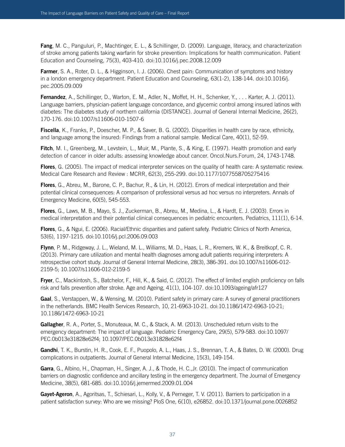**Fang**, M. C., Panguluri, P., Machtinger, E. L., & Schillinger, D. (2009). Language, literacy, and characterization of stroke among patients taking warfarin for stroke prevention: Implications for health communication. Patient Education and Counseling, 75(3), 403-410. doi:10.1016/j.pec.2008.12.009

**Farmer**, S. A., Roter, D. L., & Higginson, I. J. (2006). Chest pain: Communication of symptoms and history in a london emergency department. Patient Education and Counseling, 63(1-2), 138-144. doi:10.1016/j. pec.2005.09.009

**Fernandez**, A., Schillinger, D., Warton, E. M., Adler, N., Moffet, H. H., Schenker, Y., . . . Karter, A. J. (2011). Language barriers, physician-patient language concordance, and glycemic control among insured latinos with diabetes: The diabetes study of northern california (DISTANCE). Journal of General Internal Medicine, 26(2), 170-176. doi:10.1007/s11606-010-1507-6

**Fiscella**, K., Franks, P., Doescher, M. P., & Saver, B. G. (2002). Disparities in health care by race, ethnicity, and language among the insured: Findings from a national sample. Medical Care, 40(1), 52-59.

**Fitch**, M. I., Greenberg, M., Levstein, L., Muir, M., Plante, S., & King, E. (1997). Health promotion and early detection of cancer in older adults: assessing knowledge about cancer. Oncol.Nurs.Forum, 24, 1743-1748.

**Flores**, G. (2005). The impact of medical interpreter services on the quality of health care: A systematic review. Medical Care Research and Review : MCRR, 62(3), 255-299. doi:10.1177/1077558705275416

**Flores**, G., Abreu, M., Barone, C. P., Bachur, R., & Lin, H. (2012). Errors of medical interpretation and their potential clinical consequences: A comparison of professional versus ad hoc versus no interpreters. Annals of Emergency Medicine, 60(5), 545-553.

**Flores**, G., Laws, M. B., Mayo, S. J., Zuckerman, B., Abreu, M., Medina, L., & Hardt, E. J. (2003). Errors in medical interpretation and their potential clinical consequences in pediatric encounters. Pediatrics, 111(1), 6-14.

**Flores**, G., & Ngui, E. (2006). Racial/Ethnic disparities and patient safety. Pediatric Clinics of North America, 53(6), 1197-1215. doi:10.1016/j.pcl.2006.09.003

**Flynn**, P. M., Ridgeway, J. L., Wieland, M. L., Williams, M. D., Haas, L. R., Kremers, W. K., & Breitkopf, C. R. (2013). Primary care utilization and mental health diagnoses among adult patients requiring interpreters: A retrospective cohort study. Journal of General Internal Medicine, 28(3), 386-391. doi:10.1007/s11606-012- 2159-5; 10.1007/s11606-012-2159-5

**Fryer**, C., Mackintosh, S., Batchelor, F., Hill, K., & Said, C. (2012). The effect of limited english proficiency on falls risk and falls prevention after stroke. Age and Ageing, 41(1), 104-107. doi:10.1093/ageing/afr127

**Gaal**, S., Verstappen, W., & Wensing, M. (2010). Patient safety in primary care: A survey of general practitioners in the netherlands. BMC Health Services Research, 10, 21-6963-10-21. doi:10.1186/1472-6963-10-21; 10.1186/1472-6963-10-21

**Gallagher**, R. A., Porter, S., Monuteaux, M. C., & Stack, A. M. (2013). Unscheduled return visits to the emergency department: The impact of language. Pediatric Emergency Care, 29(5), 579-583. doi:10.1097/ PEC.0b013e31828e62f4; 10.1097/PEC.0b013e31828e62f4

**Gandhi**, T. K., Burstin, H. R., Cook, E. F., Puopolo, A. L., Haas, J. S., Brennan, T. A., & Bates, D. W. (2000). Drug complications in outpatients. Journal of General Internal Medicine, 15(3), 149-154.

**Garra**, G., Albino, H., Chapman, H., Singer, A. J., & Thode, H. C.,Jr. (2010). The impact of communication barriers on diagnostic confidence and ancillary testing in the emergency department. The Journal of Emergency Medicine, 38(5), 681-685. doi:10.1016/j.jemermed.2009.01.004

**Gayet-Ageron**, A., Agoritsas, T., Schiesari, L., Kolly, V., & Perneger, T. V. (2011). Barriers to participation in a patient satisfaction survey: Who are we missing? PloS One, 6(10), e26852. doi:10.1371/journal.pone.0026852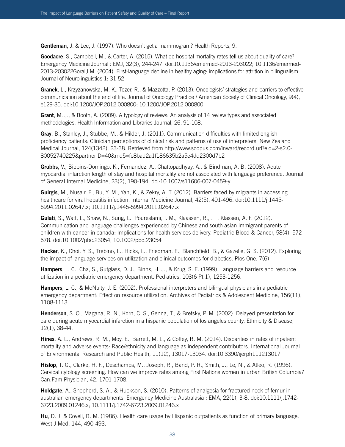**Gentleman**, J. & Lee, J. (1997). Who doesn't get a mammogram? Health Reports, 9.

**Goodacre**, S., Campbell, M., & Carter, A. (2015). What do hospital mortality rates tell us about quality of care? Emergency Medicine Journal : EMJ, 32(3), 244-247. doi:10.1136/emermed-2013-203022; 10.1136/emermed-2013-203022Goral,l M. (2004). First-language decline in healthy aging: implications for attrition in bilingualism. Journal of Neurolinguistics 1; 31-52

**Granek**, L., Krzyzanowska, M. K., Tozer, R., & Mazzotta, P. (2013). Oncologists' strategies and barriers to effective communication about the end of life. Journal of Oncology Practice / American Society of Clinical Oncology, 9(4), e129-35. doi:10.1200/JOP.2012.000800; 10.1200/JOP.2012.000800

**Grant**, M. J., & Booth, A. (2009). A typology of reviews: An analysis of 14 review types and associated methodologies. Health Information and Libraries Journal, 26, 91-108.

**Gray**, B., Stanley, J., Stubbe, M., & Hilder, J. (2011). Communication difficulties with limited english proficiency patients: Clinician perceptions of clinical risk and patterns of use of interpreters. New Zealand Medical Journal, 124(1342), 23-38. Retrieved from http://www.scopus.com/inward/record.url?eid=2-s2.0- 80052740225&partnerID=40&md5=fe8bad2a1f186635b2a5e4dd2300d7b2

**Grubbs**, V., Bibbins-Domingo, K., Fernandez, A., Chattopadhyay, A., & Bindman, A. B. (2008). Acute myocardial infarction length of stay and hospital mortality are not associated with language preference. Journal of General Internal Medicine, 23(2), 190-194. doi:10.1007/s11606-007-0459-y

**Guirgis**, M., Nusair, F., Bu, Y. M., Yan, K., & Zekry, A. T. (2012). Barriers faced by migrants in accessing healthcare for viral hepatitis infection. Internal Medicine Journal, 42(5), 491-496. doi:10.1111/j.1445-5994.2011.02647.x; 10.1111/j.1445-5994.2011.02647.x

**Gulati**, S., Watt, L., Shaw, N., Sung, L., Poureslami, I. M., Klaassen, R., . . . Klassen, A. F. (2012). Communication and language challenges experienced by Chinese and south asian immigrant parents of children with cancer in canada: Implications for health services delivery. Pediatric Blood & Cancer, 58(4), 572- 578. doi:10.1002/pbc.23054; 10.1002/pbc.23054

**Hacker**, K., Choi, Y. S., Trebino, L., Hicks, L., Friedman, E., Blanchfield, B., & Gazelle, G. S. (2012). Exploring the impact of language services on utilization and clinical outcomes for diabetics. Plos One, 7(6)

**Hampers**, L. C., Cha, S., Gutglass, D. J., Binns, H. J., & Krug, S. E. (1999). Language barriers and resource utilization in a pediatric emergency department. Pediatrics, 103(6 Pt 1), 1253-1256.

**Hampers**, L. C., & McNulty, J. E. (2002). Professional interpreters and bilingual physicians in a pediatric emergency department: Effect on resource utilization. Archives of Pediatrics & Adolescent Medicine, 156(11), 1108-1113.

**Henderson**, S. O., Magana, R. N., Korn, C. S., Genna, T., & Bretsky, P. M. (2002). Delayed presentation for care during acute myocardial infarction in a hispanic population of los angeles county. Ethnicity & Disease, 12(1), 38-44.

**Hines**, A. L., Andrews, R. M., Moy, E., Barrett, M. L., & Coffey, R. M. (2014). Disparities in rates of inpatient mortality and adverse events: Race/ethnicity and language as independent contributors. International Journal of Environmental Research and Public Health, 11(12), 13017-13034. doi:10.3390/ijerph111213017

**Hislop**, T. G., Clarke, H. F., Deschamps, M., Joseph, R., Band, P. R., Smith, J., Le, N., & Atleo, R. (1996). Cervical cytology screening. How can we improve rates among First Nations women in urban British Columbia? Can.Fam.Physician, 42, 1701-1708.

**Holdgate**, A., Shepherd, S. A., & Huckson, S. (2010). Patterns of analgesia for fractured neck of femur in australian emergency departments. Emergency Medicine Australasia : EMA, 22(1), 3-8. doi:10.1111/j.1742- 6723.2009.01246.x; 10.1111/j.1742-6723.2009.01246.x

**Hu**, D. J. & Covell, R. M. (1986). Health care usage by Hispanic outpatients as function of primary language. West J Med, 144, 490-493.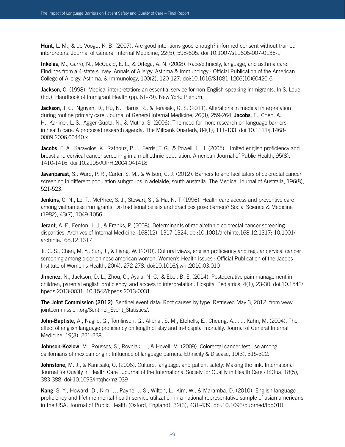**Hunt**, L. M., & de Voogd, K. B. (2007). Are good intentions good enough? informed consent without trained interpreters. Journal of General Internal Medicine, 22(5), 598-605. doi:10.1007/s11606-007-0136-1

**Inkelas**, M., Garro, N., McQuaid, E. L., & Ortega, A. N. (2008). Race/ethnicity, language, and asthma care: Findings from a 4-state survey. Annals of Allergy, Asthma & Immunology : Official Publication of the American College of Allergy, Asthma, & Immunology, 100(2), 120-127. doi:10.1016/S1081-1206(10)60420-6

**Jackson**, C. (1998). Medical interpretation: an essential service for non-English speaking immigrants. In S. Loue (Ed.), Handbook of Immigrant Health (pp. 61-79). New York: Plenum.

**Jackson**, J. C., Nguyen, D., Hu, N., Harris, R., & Terasaki, G. S. (2011). Alterations in medical interpretation during routine primary care. Journal of General Internal Medicine, 26(3), 259-264. **Jacobs**, E., Chen, A. H., Karliner, L. S., Agger-Gupta, N., & Mutha, S. (2006). The need for more research on language barriers in health care: A proposed research agenda. The Milbank Quarterly, 84(1), 111-133. doi:10.1111/j.1468- 0009.2006.00440.x

**Jacobs**, E. A., Karavolos, K., Rathouz, P. J., Ferris, T. G., & Powell, L. H. (2005). Limited english proficiency and breast and cervical cancer screening in a multiethnic population. American Journal of Public Health, 95(8), 1410-1416. doi:10.2105/AJPH.2004.041418

**Javanparast**, S., Ward, P. R., Carter, S. M., & Wilson, C. J. (2012). Barriers to and facilitators of colorectal cancer screening in different population subgroups in adelaide, south australia. The Medical Journal of Australia, 196(8), 521-523.

**Jenkins**, C. N., Le, T., McPhee, S. J., Stewart, S., & Ha, N. T. (1996). Health care access and preventive care among vietnamese immigrants: Do traditional beliefs and practices pose barriers? Social Science & Medicine (1982), 43(7), 1049-1056.

**Jerant**, A. F., Fenton, J. J., & Franks, P. (2008). Determinants of racial/ethnic colorectal cancer screening disparities. Archives of Internal Medicine, 168(12), 1317-1324. doi:10.1001/archinte.168.12.1317; 10.1001/ archinte.168.12.1317

Ji, C. S., Chen, M. Y., Sun, J., & Liang, W. (2010). Cultural views, english proficiency and regular cervical cancer screening among older chinese american women. Women's Health Issues : Official Publication of the Jacobs Institute of Women's Health, 20(4), 272-278. doi:10.1016/j.whi.2010.03.010

**Jimenez**, N., Jackson, D. L., Zhou, C., Ayala, N. C., & Ebel, B. E. (2014). Postoperative pain management in children, parental english proficiency, and access to interpretation. Hospital Pediatrics, 4(1), 23-30. doi:10.1542/ hpeds.2013-0031; 10.1542/hpeds.2013-0031

**The Joint Commission (2012)**. Sentinel event data: Root causes by type. Retrieved May 3, 2012, from www. jointcommission.org/Sentinel\_Event\_Statistics/.

**John-Baptiste**, A., Naglie, G., Tomlinson, G., Alibhai, S. M., Etchells, E., Cheung, A., . . . Kahn, M. (2004). The effect of english language proficiency on length of stay and in-hospital mortality. Journal of General Internal Medicine, 19(3), 221-228.

**Johnson-Kozlow**, M., Roussos, S., Rovniak, L., & Hovell, M. (2009). Colorectal cancer test use among californians of mexican origin: Influence of language barriers. Ethnicity & Disease, 19(3), 315-322.

**Johnstone**, M. J., & Kanitsaki, O. (2006). Culture, language, and patient safety: Making the link. International Journal for Quality in Health Care : Journal of the International Society for Quality in Health Care / ISQua, 18(5), 383-388. doi:10.1093/intqhc/mzl039

**Kang**, S. Y., Howard, D., Kim, J., Payne, J. S., Wilton, L., Kim, W., & Maramba, D. (2010). English language proficiency and lifetime mental health service utilization in a national representative sample of asian americans in the USA. Journal of Public Health (Oxford, England), 32(3), 431-439. doi:10.1093/pubmed/fdq010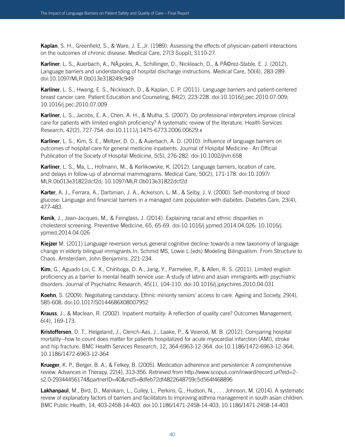**Kaplan**, S. H., Greenfield, S., & Ware, J. E.,Jr. (1989). Assessing the effects of physician-patient interactions on the outcomes of chronic disease. Medical Care, 27(3 Suppl), S110-27.

Karliner, L. S., Auerbach, A., Nápoles, A., Schillinger, D., Nickleach, D., & Pérez-Stable, E. J. (2012). Language barriers and understanding of hospital discharge instructions. Medical Care, 50(4), 283-289. doi:10.1097/MLR.0b013e318249c949

**Karliner**, L. S., Hwang, E. S., Nickleach, D., & Kaplan, C. P. (2011). Language barriers and patient-centered breast cancer care. Patient Education and Counseling, 84(2), 223-228. doi:10.1016/j.pec.2010.07.009; 10.1016/j.pec.2010.07.009

**Karliner**, L. S., Jacobs, E. A., Chen, A. H., & Mutha, S. (2007). Do professional interpreters improve clinical care for patients with limited english proficiency? A systematic review of the literature. Health Services Research, 42(2), 727-754. doi:10.1111/j.1475-6773.2006.00629.x

**Karliner**, L. S., Kim, S. E., Meltzer, D. O., & Auerbach, A. D. (2010). Influence of language barriers on outcomes of hospital care for general medicine inpatients. Journal of Hospital Medicine : An Official Publication of the Society of Hospital Medicine, 5(5), 276-282. doi:10.1002/jhm.658

**Karliner**, L. S., Ma, L., Hofmann, M., & Kerlikowske, K. (2012). Language barriers, location of care, and delays in follow-up of abnormal mammograms. Medical Care, 50(2), 171-178. doi:10.1097/ MLR.0b013e31822dcf2d; 10.1097/MLR.0b013e31822dcf2d

**Karter**, A. J., Ferrara, A., Darbinian, J. A., Ackerson, L. M., & Selby, J. V. (2000). Self-monitoring of blood glucose: Language and financial barriers in a managed care population with diabetes. Diabetes Care, 23(4), 477-483.

**Kenik**, J., Jean-Jacques, M., & Feinglass, J. (2014). Explaining racial and ethnic disparities in cholesterol screening. Preventive Medicine, 65, 65-69. doi:10.1016/j.ypmed.2014.04.026; 10.1016/j. ypmed.2014.04.026

**Kiejzer** M. (2011).Language reversion versus general cognitive decline: towards a new taxonomy of language change in elderly bilingual immigrants.In: Schmid MS, Lowie L.(eds) Modeling Bilingualism. From Structure to Chaos. Amsterdam, John Benjamins. 221-234.

**Kim**, G., Aguado Loi, C. X., Chiriboga, D. A., Jang, Y., Parmelee, P., & Allen, R. S. (2011). Limited english proficiency as a barrier to mental health service use: A study of latino and asian immigrants with psychiatric disorders. Journal of Psychiatric Research, 45(1), 104-110. doi:10.1016/j.jpsychires.2010.04.031

**Koehn**, S. (2009). Negotiating candidacy: Ethnic minority seniors' access to care. Ageing and Society, 29(4), 585-608. doi:10.1017/S0144686X08007952

**Krauss**, J., & Maclean, R. (2002). Inpatient mortality: A reflection of quality care? Outcomes Management, 6(4), 169-173.

**Kristoffersen**, D. T., Helgeland, J., Clench-Aas, J., Laake, P., & Veierod, M. B. (2012). Comparing hospital mortality--how to count does matter for patients hospitalized for acute myocardial infarction (AMI), stroke and hip fracture. BMC Health Services Research, 12, 364-6963-12-364. doi:10.1186/1472-6963-12-364; 10.1186/1472-6963-12-364

**Krueger**, K. P., Berger, B. A., & Felkey, B. (2005). Medication adherence and persistence: A comprehensive review. Advances in Therapy, 22(4), 313-356. Retrieved from http://www.scopus.com/inward/record.url?eid=2 s2.0-29344456174&partnerID=40&md5=8dfeb72df4822648759c5d564f468896

**Lakhanpaul**, M., Bird, D., Manikam, L., Culley, L., Perkins, G., Hudson, N., . . . Johnson, M. (2014). A systematic review of explanatory factors of barriers and facilitators to improving asthma management in south asian children. BMC Public Health, 14, 403-2458-14-403. doi:10.1186/1471-2458-14-403; 10.1186/1471-2458-14-403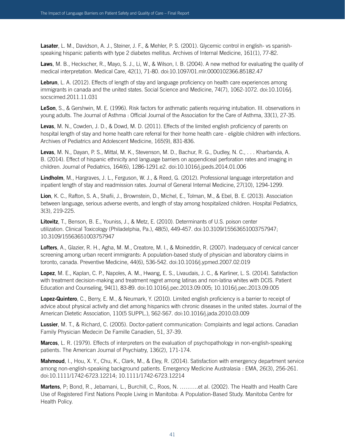**Lasater**, L. M., Davidson, A. J., Steiner, J. F., & Mehler, P. S. (2001). Glycemic control in english- vs spanishspeaking hispanic patients with type 2 diabetes mellitus. Archives of Internal Medicine, 161(1), 77-82.

**Laws**, M. B., Heckscher, R., Mayo, S. J., Li, W., & Wilson, I. B. (2004). A new method for evaluating the quality of medical interpretation. Medical Care, 42(1), 71-80. doi:10.1097/01.mlr.0000102366.85182.47

Lebrun, L. A. (2012). Effects of length of stay and language proficiency on health care experiences among immigrants in canada and the united states. Social Science and Medicine, 74(7), 1062-1072. doi:10.1016/j. socscimed.2011.11.031

**LeSon**, S., & Gershwin, M. E. (1996). Risk factors for asthmatic patients requiring intubation. III. observations in young adults. The Journal of Asthma : Official Journal of the Association for the Care of Asthma, 33(1), 27-35.

**Levas**, M. N., Cowden, J. D., & Dowd, M. D. (2011). Effects of the limited english proficiency of parents on hospital length of stay and home health care referral for their home health care - eligible children with infections. Archives of Pediatrics and Adolescent Medicine, 165(9), 831-836.

**Levas**, M. N., Dayan, P. S., Mittal, M. K., Stevenson, M. D., Bachur, R. G., Dudley, N. C., . . . Kharbanda, A. B. (2014). Effect of hispanic ethnicity and language barriers on appendiceal perforation rates and imaging in children. Journal of Pediatrics, 164(6), 1286-1291.e2. doi:10.1016/j.jpeds.2014.01.006

**Lindholm**, M., Hargraves, J. L., Ferguson, W. J., & Reed, G. (2012). Professional language interpretation and inpatient length of stay and readmission rates. Journal of General Internal Medicine, 27(10), 1294-1299.

**Lion**, K. C., Rafton, S. A., Shafii, J., Brownstein, D., Michel, E., Tolman, M., & Ebel, B. E. (2013). Association between language, serious adverse events, and length of stay among hospitalized children. Hospital Pediatrics, 3(3), 219-225.

**Litovitz**, T., Benson, B. E., Youniss, J., & Metz, E. (2010). Determinants of U.S. poison center utilization. Clinical Toxicology (Philadelphia, Pa.), 48(5), 449-457. doi:10.3109/15563651003757947; 10.3109/15563651003757947

**Lofters**, A., Glazier, R. H., Agha, M. M., Creatore, M. I., & Moineddin, R. (2007). Inadequacy of cervical cancer screening among urban recent immigrants: A population-based study of physician and laboratory claims in toronto, canada. Preventive Medicine, 44(6), 536-542. doi:10.1016/j.ypmed.2007.02.019

**Lopez**, M. E., Kaplan, C. P., Napoles, A. M., Hwang, E. S., Livaudais, J. C., & Karliner, L. S. (2014). Satisfaction with treatment decision-making and treatment regret among latinas and non-latina whites with DCIS. Patient Education and Counseling, 94(1), 83-89. doi:10.1016/j.pec.2013.09.005; 10.1016/j.pec.2013.09.005

**Lopez-Quintero**, C., Berry, E. M., & Neumark, Y. (2010). Limited english proficiency is a barrier to receipt of advice about physical activity and diet among hispanics with chronic diseases in the united states. Journal of the American Dietetic Association, 110(5 SUPPL.), S62-S67. doi:10.1016/j.jada.2010.03.009

**Lussier**, M. T., & Richard, C. (2005). Doctor-patient communication: Complaints and legal actions. Canadian Family Physician Medecin De Famille Canadien, 51, 37-39.

**Marcos**, L. R. (1979). Effects of interpreters on the evaluation of psychopathology in non-english-speaking patients. The American Journal of Psychiatry, 136(2), 171-174.

**Mahmoud**, I., Hou, X. Y., Chu, K., Clark, M., & Eley, R. (2014). Satisfaction with emergency department service among non-english-speaking background patients. Emergency Medicine Australasia : EMA, 26(3), 256-261. doi:10.1111/1742-6723.12214; 10.1111/1742-6723.12214

**Martens**, P; Bond, R., Jebamani, L., Burchill, C., Roos, N. ……….et al. (2002). The Health and Health Care Use of Registered First Nations People Living in Manitoba: A Population-Based Study. Manitoba Centre for Health Policy.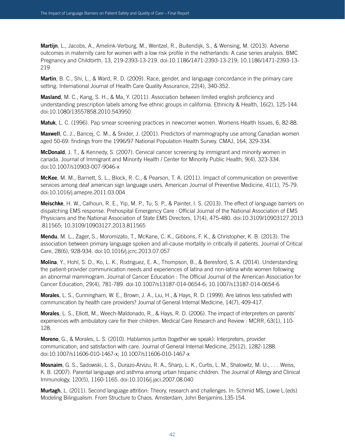**Martijn**, L., Jacobs, A., Amelink-Verburg, M., Wentzel, R., Buitendijk, S., & Wensing, M. (2013). Adverse outcomes in maternity care for women with a low risk profile in the netherlands: A case series analysis. BMC Pregnancy and Childbirth, 13, 219-2393-13-219. doi:10.1186/1471-2393-13-219; 10.1186/1471-2393-13- 219

**Martin**, B. C., Shi, L., & Ward, R. D. (2009). Race, gender, and language concordance in the primary care setting. International Journal of Health Care Quality Assurance, 22(4), 340-352.

**Masland**, M. C., Kang, S. H., & Ma, Y. (2011). Association between limited english proficiency and understanding prescription labels among five ethnic groups in california. Ethnicity & Health, 16(2), 125-144. doi:10.1080/13557858.2010.543950

**Matuk**, L. C. (1996). Pap smear screening practices in newcomer women. Womens Health Issues, 6, 82-88.

**Maxwell**, C. J., Bancej, C. M., & Snider, J. (2001). Predictors of mammography use among Canadian women aged 50-69: findings from the 1996/97 National Population Health Survey. CMAJ, 164, 329-334.

**McDonald**, J. T., & Kennedy, S. (2007). Cervical cancer screening by immigrant and minority women in canada. Journal of Immigrant and Minority Health / Center for Minority Public Health, 9(4), 323-334. doi:10.1007/s10903-007-9046-x

**McKee**, M. M., Barnett, S. L., Block, R. C., & Pearson, T. A. (2011). Impact of communication on preventive services among deaf american sign language users. American Journal of Preventive Medicine, 41(1), 75-79. doi:10.1016/j.amepre.2011.03.004

**Meischke**, H. W., Calhoun, R. E., Yip, M. P., Tu, S. P., & Painter, I. S. (2013). The effect of language barriers on dispatching EMS response. Prehospital Emergency Care : Official Journal of the National Association of EMS Physicians and the National Association of State EMS Directors, 17(4), 475-480. doi:10.3109/10903127.2013 .811565; 10.3109/10903127.2013.811565

**Mendu**, M. L., Zager, S., Moromizato, T., McKane, C. K., Gibbons, F. K., & Christopher, K. B. (2013). The association between primary language spoken and all-cause mortality in critically ill patients. Journal of Critical Care, 28(6), 928-934. doi:10.1016/j.jcrc.2013.07.057

**Molina**, Y., Hohl, S. D., Ko, L. K., Rodriguez, E. A., Thompson, B., & Beresford, S. A. (2014). Understanding the patient-provider communication needs and experiences of latina and non-latina white women following an abnormal mammogram. Journal of Cancer Education : The Official Journal of the American Association for Cancer Education, 29(4), 781-789. doi:10.1007/s13187-014-0654-6; 10.1007/s13187-014-0654-6

**Morales**, L. S., Cunningham, W. E., Brown, J. A., Liu, H., & Hays, R. D. (1999). Are latinos less satisfied with communication by health care providers? Journal of General Internal Medicine, 14(7), 409-417.

**Morales**, L. S., Elliott, M., Weech-Maldonado, R., & Hays, R. D. (2006). The impact of interpreters on parents' experiences with ambulatory care for their children. Medical Care Research and Review : MCRR, 63(1), 110- 128.

**Moreno**, G., & Morales, L. S. (2010). Hablamos juntos (together we speak): Interpreters, provider communication, and satisfaction with care. Journal of General Internal Medicine, 25(12), 1282-1288. doi:10.1007/s11606-010-1467-x; 10.1007/s11606-010-1467-x

**Mosnaim**, G. S., Sadowski, L. S., Durazo-Arvizu, R. A., Sharp, L. K., Curtis, L. M., Shalowitz, M. U., . . . Weiss, K. B. (2007). Parental language and asthma among urban hispanic children. The Journal of Allergy and Clinical Immunology, 120(5), 1160-1165. doi:10.1016/j.jaci.2007.08.040

**Murtagh**, L. (2011). Second language attrition: Theory, research and challenges. In: Schmid MS, Lowie L.(eds) Modeling Bilingualism. From Structure to Chaos. Amsterdam, John Benjamins.135-154.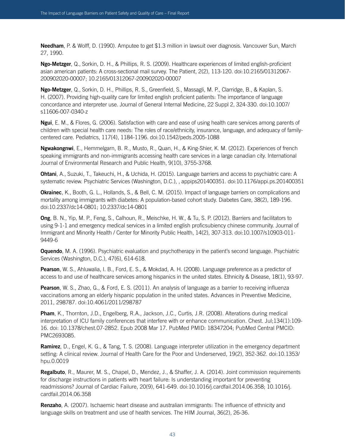**Needham**, P. & Wolff, D. (1990). Amputee to get \$1.3 million in lawsuit over diagnosis. Vancouver Sun, March 27, 1990.

**Ngo-Metzger**, Q., Sorkin, D. H., & Phillips, R. S. (2009). Healthcare experiences of limited english-proficient asian american patients: A cross-sectional mail survey. The Patient, 2(2), 113-120. doi:10.2165/01312067- 200902020-00007; 10.2165/01312067-200902020-00007

**Ngo-Metzger**, Q., Sorkin, D. H., Phillips, R. S., Greenfield, S., Massagli, M. P., Clarridge, B., & Kaplan, S. H. (2007). Providing high-quality care for limited english proficient patients: The importance of language concordance and interpreter use. Journal of General Internal Medicine, 22 Suppl 2, 324-330. doi:10.1007/ s11606-007-0340-z

**Ngui**, E. M., & Flores, G. (2006). Satisfaction with care and ease of using health care services among parents of children with special health care needs: The roles of race/ethnicity, insurance, language, and adequacy of familycentered care. Pediatrics, 117(4), 1184-1196. doi:10.1542/peds.2005-1088

**Ngwakongnwi**, E., Hemmelgarn, B. R., Musto, R., Quan, H., & King-Shier, K. M. (2012). Experiences of french speaking immigrants and non-immigrants accessing health care services in a large canadian city. International Journal of Environmental Research and Public Health, 9(10), 3755-3768.

**Ohtani**, A., Suzuki, T., Takeuchi, H., & Uchida, H. (2015). Language barriers and access to psychiatric care: A systematic review. Psychiatric Services (Washington, D.C.), , appips201400351. doi:10.1176/appi.ps.201400351

**Okrainec**, K., Booth, G. L., Hollands, S., & Bell, C. M. (2015). Impact of language barriers on complications and mortality among immigrants with diabetes: A population-based cohort study. Diabetes Care, 38(2), 189-196. doi:10.2337/dc14-0801; 10.2337/dc14-0801

**Ong**, B. N., Yip, M. P., Feng, S., Calhoun, R., Meischke, H. W., & Tu, S. P. (2012). Barriers and facilitators to using 9-1-1 and emergency medical services in a limited english proficsubiency chinese community. Journal of Immigrant and Minority Health / Center for Minority Public Health, 14(2), 307-313. doi:10.1007/s10903-011- 9449-6

**Oquendo**, M. A. (1996). Psychiatric evaluation and psychotherapy in the patient's second language. Psychiatric Services (Washington, D.C.), 47(6), 614-618.

**Pearson**, W. S., Ahluwalia, I. B., Ford, E. S., & Mokdad, A. H. (2008). Language preference as a predictor of access to and use of healthcare services among hispanics in the united states. Ethnicity & Disease, 18(1), 93-97.

**Pearson**, W. S., Zhao, G., & Ford, E. S. (2011). An analysis of language as a barrier to receiving influenza vaccinations among an elderly hispanic population in the united states. Advances in Preventive Medicine, 2011, 298787. doi:10.4061/2011/298787

**Pham**, K., Thornton, J.D., Engelberg, R.A., Jackson, J.C., Curtis, J.R. (2008). Alterations during medical interpretation of ICU family conferences that interfere with or enhance communication. Chest. Jul;134(1):109- 16. doi: 10.1378/chest.07-2852. Epub 2008 Mar 17. PubMed PMID: 18347204; PubMed Central PMCID: PMC2693085.

**Ramirez**, D., Engel, K. G., & Tang, T. S. (2008). Language interpreter utilization in the emergency department setting: A clinical review. Journal of Health Care for the Poor and Underserved, 19(2), 352-362. doi:10.1353/ hpu.0.0019

**Regalbuto**, R., Maurer, M. S., Chapel, D., Mendez, J., & Shaffer, J. A. (2014). Joint commission requirements for discharge instructions in patients with heart failure: Is understanding important for preventing readmissions? Journal of Cardiac Failure, 20(9), 641-649. doi:10.1016/j.cardfail.2014.06.358; 10.1016/j. cardfail.2014.06.358

**Renzaho**, A. (2007). Ischaemic heart disease and australian immigrants: The influence of ethnicity and language skills on treatment and use of health services. The HIM Journal, 36(2), 26-36.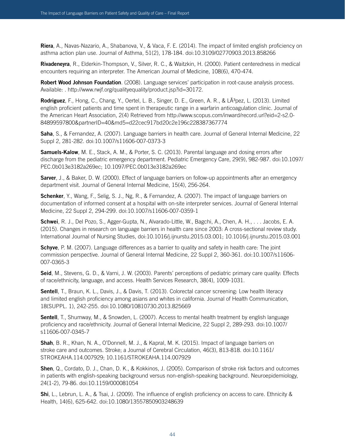**Riera**, A., Navas-Nazario, A., Shabanova, V., & Vaca, F. E. (2014). The impact of limited english proficiency on asthma action plan use. Journal of Asthma, 51(2), 178-184. doi:10.3109/02770903.2013.858266

**Rivadeneyra**, R., Elderkin-Thompson, V., Silver, R. C., & Waitzkin, H. (2000). Patient centeredness in medical encounters requiring an interpreter. The American Journal of Medicine, 108(6), 470-474.

**Robert Wood Johnson Foundation**. (2008). Language services' participation in root-cause analysis process. Available: . http://www.rwjf.org/qualityequality/product.jsp?id=30172.

**Rodriguez**, F., Hong, C., Chang, Y., Oertel, L. B., Singer, D. E., Green, A. R., & LÂ<sup>3</sup>pez, L. (2013). Limited english proficient patients and time spent in therapeutic range in a warfarin anticoagulation clinic. Journal of the American Heart Association, 2(4) Retrieved from http://www.scopus.com/inward/record.url?eid=2-s2.0- 84899597800&partnerID=40&md5=d22cec917bd20c2e196c228387367774

**Saha**, S., & Fernandez, A. (2007). Language barriers in health care. Journal of General Internal Medicine, 22 Suppl 2, 281-282. doi:10.1007/s11606-007-0373-3

**Samuels-Kalow**, M. E., Stack, A. M., & Porter, S. C. (2013). Parental language and dosing errors after discharge from the pediatric emergency department. Pediatric Emergency Care, 29(9), 982-987. doi:10.1097/ PEC.0b013e3182a269ec; 10.1097/PEC.0b013e3182a269ec

**Sarver**, J., & Baker, D. W. (2000). Effect of language barriers on follow-up appointments after an emergency department visit. Journal of General Internal Medicine, 15(4), 256-264.

**Schenker**, Y., Wang, F., Selig, S. J., Ng, R., & Fernandez, A. (2007). The impact of language barriers on documentation of informed consent at a hospital with on-site interpreter services. Journal of General Internal Medicine, 22 Suppl 2, 294-299. doi:10.1007/s11606-007-0359-1

**Schwei**, R. J., Del Pozo, S., Agger-Gupta, N., Alvarado-Little, W., Bagchi, A., Chen, A. H., . . . Jacobs, E. A. (2015). Changes in research on language barriers in health care since 2003: A cross-sectional review study. International Journal of Nursing Studies, doi:10.1016/j.ijnurstu.2015.03.001; 10.1016/j.ijnurstu.2015.03.001

**Schyve**, P. M. (2007). Language differences as a barrier to quality and safety in health care: The joint commission perspective. Journal of General Internal Medicine, 22 Suppl 2, 360-361. doi:10.1007/s11606- 007-0365-3

**Seid**, M., Stevens, G. D., & Varni, J. W. (2003). Parents' perceptions of pediatric primary care quality: Effects of race/ethnicity, language, and access. Health Services Research, 38(4), 1009-1031.

**Sentell**, T., Braun, K. L., Davis, J., & Davis, T. (2013). Colorectal cancer screening: Low health literacy and limited english proficiency among asians and whites in california. Journal of Health Communication, 18(SUPPL. 1), 242-255. doi:10.1080/10810730.2013.825669

**Sentell**, T., Shumway, M., & Snowden, L. (2007). Access to mental health treatment by english language proficiency and race/ethnicity. Journal of General Internal Medicine, 22 Suppl 2, 289-293. doi:10.1007/ s11606-007-0345-7

**Shah**, B. R., Khan, N. A., O'Donnell, M. J., & Kapral, M. K. (2015). Impact of language barriers on stroke care and outcomes. Stroke; a Journal of Cerebral Circulation, 46(3), 813-818. doi:10.1161/ STROKEAHA.114.007929; 10.1161/STROKEAHA.114.007929

**Shen**, Q., Cordato, D. J., Chan, D. K., & Kokkinos, J. (2005). Comparison of stroke risk factors and outcomes in patients with english-speaking background versus non-english-speaking background. Neuroepidemiology, 24(1-2), 79-86. doi:10.1159/000081054

**Shi**, L., Lebrun, L. A., & Tsai, J. (2009). The influence of english proficiency on access to care. Ethnicity & Health, 14(6), 625-642. doi:10.1080/13557850903248639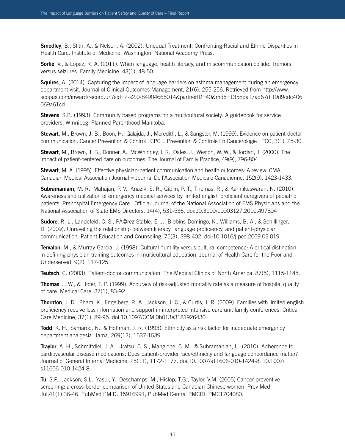**Smedley**, B., Stith, A., & Nelson, A. (2002). Unequal Treatment: Confronting Racial and Ethnic Disparities in Health Care. Institute of Medicine. Washington: National Academy Press.

**Sorlie**, V., & Lopez, R. A. (2011). When language, health literacy, and miscommunication collide: Tremors versus seizures. Family Medicine, 43(1), 48-50.

**Squires**, A. (2014). Capturing the impact of language barriers on asthma management during an emergency department visit. Journal of Clinical Outcomes Management, 21(6), 255-256. Retrieved from http://www. scopus.com/inward/record.url?eid=2-s2.0-84904665014&partnerID=40&md5=1358da17ad67df19d9cdc406 069a61cd

**Stevens**, S.B. (1993). Community based programs for a multicultural society: A guidebook for service providers. WInnipeg: Planned Parenthood Manitoba.

**Stewart**, M., Brown, J. B., Boon, H., Galajda, J., Meredith, L., & Sangster, M. (1999). Evidence on patient-doctor communication. Cancer Prevention & Control : CPC = Prevention & Controle En Cancerologie : PCC, 3(1), 25-30.

**Stewart**, M., Brown, J. B., Donner, A., McWhinney, I. R., Oates, J., Weston, W. W., & Jordan, J. (2000). The impact of patient-centered care on outcomes. The Journal of Family Practice, 49(9), 796-804.

**Stewart**, M. A. (1995). Effective physician-patient communication and health outcomes: A review. CMAJ : Canadian Medical Association Journal = Journal De l'Association Medicale Canadienne, 152(9), 1423-1433.

**Subramaniam**, M. R., Mahajan, P. V., Knazik, S. R., Giblin, P. T., Thomas, R., & Kannikeswaran, N. (2010). Awareness and utilization of emergency medical services by limited english proficient caregivers of pediatric patients. Prehospital Emergency Care : Official Journal of the National Association of EMS Physicians and the National Association of State EMS Directors, 14(4), 531-536. doi:10.3109/10903127.2010.497894

**Sudore**, R. L., Landefeld, C. S., Pérez-Stable, E. J., Bibbins-Domingo, K., Williams, B. A., & Schillinger, D. (2009). Unraveling the relationship between literacy, language proficiency, and patient-physician communication. Patient Education and Counseling, 75(3), 398-402. doi:10.1016/j.pec.2009.02.019

**Tervalon**, M., & Murray-Garcia, J. (1998). Cultural humility versus cultural competence: A critical distinction in defining physician training outcomes in multicultural education. Journal of Health Care for the Poor and Underserved, 9(2), 117-125.

**Teutsch**, C. (2003). Patient-doctor communication. The Medical Clinics of North America, 87(5), 1115-1145.

**Thomas**, J. W., & Hofer, T. P. (1999). Accuracy of risk-adjusted mortality rate as a measure of hospital quality of care. Medical Care, 37(1), 83-92.

**Thornton**, J. D., Pham, K., Engelberg, R. A., Jackson, J. C., & Curtis, J. R. (2009). Families with limited english proficiency receive less information and support in interpreted intensive care unit family conferences. Critical Care Medicine, 37(1), 89-95. doi:10.1097/CCM.0b013e3181926430

**Todd**, K. H., Samaroo, N., & Hoffman, J. R. (1993). Ethnicity as a risk factor for inadequate emergency department analgesia. Jama, 269(12), 1537-1539.

**Traylor**, A. H., Schmittdiel, J. A., Uratsu, C. S., Mangione, C. M., & Subramanian, U. (2010). Adherence to cardiovascular disease medications: Does patient-provider race/ethnicity and language concordance matter? Journal of General Internal Medicine, 25(11), 1172-1177. doi:10.1007/s11606-010-1424-8; 10.1007/ s11606-010-1424-8

**Tu**, S.P., Jackson, S.L., Yasui, Y., Deschamps, M., Hislop, T.G., Taylor, V.M. (2005) Cancer preventive screening: a cross-border comparison of United States and Canadian Chinese women. Prev Med. Jul;41(1):36-46. PubMed PMID: 15916991; PubMed Central PMCID: PMC1704080.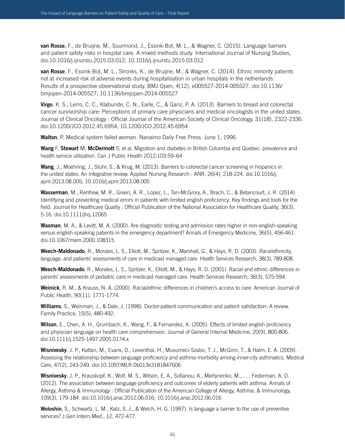**van Rosse**, F., de Bruijne, M., Suurmond, J., Essink-Bot, M. L., & Wagner, C. (2015). Language barriers and patient safety risks in hospital care. A mixed methods study. International Journal of Nursing Studies, doi:10.1016/j.ijnurstu.2015.03.012; 10.1016/j.ijnurstu.2015.03.012

**van Rosse**, F., Essink-Bot, M. L., Stronks, K., de Bruijne, M., & Wagner, C. (2014). Ethnic minority patients not at increased risk of adverse events during hospitalisation in urban hospitals in the netherlands: Results of a prospective observational study. BMJ Open, 4(12), e005527-2014-005527. doi:10.1136/ bmjopen-2014-005527; 10.1136/bmjopen-2014-005527

**Virgo**, K. S., Lerro, C. C., Klabunde, C. N., Earle, C., & Ganz, P. A. (2013). Barriers to breast and colorectal cancer survivorship care: Perceptions of primary care physicians and medical oncologists in the united states. Journal of Clinical Oncology : Official Journal of the American Society of Clinical Oncology, 31(18), 2322-2336. doi:10.1200/JCO.2012.45.6954; 10.1200/JCO.2012.45.6954

**Walton**, P. Medical system failed woman. Nanaimo Daily Free Press. June 1, 1996.

**Wang** F, **Stewart** M, **McDermott** S, et al. Migration and diabetes in British Columbia and Quebec: prevalence and health service utilization. Can J Public Health 2012;103:59–64

**Wang**, J., Moehring, J., Stuhr, S., & Krug, M. (2013). Barriers to colorectal cancer screening in hispanics in the united states: An integrative review. Applied Nursing Research : ANR, 26(4), 218-224. doi:10.1016/j. apnr.2013.08.005; 10.1016/j.apnr.2013.08.005

**Wasserman**, M., Renfrew, M. R., Green, A. R., Lopez, L., Tan-McGrory, A., Brach, C., & Betancourt, J. R. (2014). Identifying and preventing medical errors in patients with limited english proficiency: Key findings and tools for the field. Journal for Healthcare Quality : Official Publication of the National Association for Healthcare Quality, 36(3), 5-16. doi:10.1111/jhq.12065

**Waxman**, M. A., & Levitt, M. A. (2000). Are diagnostic testing and admission rates higher in non-english-speaking versus english-speaking patients in the emergency department? Annals of Emergency Medicine, 36(5), 456-461. doi:10.1067/mem.2000.108315

**Weech-Maldonado**, R., Morales, L. S., Elliott, M., Spritzer, K., Marshall, G., & Hays, R. D. (2003). Race/ethnicity, language, and patients' assessments of care in medicaid managed care. Health Services Research, 38(3), 789-808.

**Weech-Maldonado**, R., Morales, L. S., Spritzer, K., Elliott, M., & Hays, R. D. (2001). Racial and ethnic differences in parents' assessments of pediatric care in medicaid managed care. Health Services Research, 36(3), 575-594.

**Weinick**, R. M., & Krauss, N. A. (2000). Racial/ethnic differences in children's access to care. American Journal of Public Health, 90(11), 1771-1774.

**Williams**, S., Weinman, J., & Dale, J. (1998). Doctor-patient communication and patient satisfaction: A review. Family Practice, 15(5), 480-492.

**Wilson**, E., Chen, A. H., Grumbach, K., Wang, F., & Fernandez, A. (2005). Effects of limited english proficiency and physician language on health care comprehension. Journal of General Internal Medicine, 20(9), 800-806. doi:10.1111/j.1525-1497.2005.0174.x

**Wisnivesky**, J. P., Kattan, M., Evans, D., Leventhal, H., Musumeci-Szabo, T. J., McGinn, T., & Halm, E. A. (2009). Assessing the relationship between language proficiency and asthma morbidity among inner-city asthmatics. Medical Care, 47(2), 243-249. doi:10.1097/MLR.0b013e3181847606

**Wisnivesky**, J. P., Krauskopf, K., Wolf, M. S., Wilson, E. A., Sofianou, A., Martynenko, M., . . . Federman, A. D. (2012). The association between language proficiency and outcomes of elderly patients with asthma. Annals of Allergy, Asthma & Immunology : Official Publication of the American College of Allergy, Asthma, & Immunology, 109(3), 179-184. doi:10.1016/j.anai.2012.06.016; 10.1016/j.anai.2012.06.016

**Woloshin**, S., Schwartz, L. M., Katz, S. J., & Welch, H. G. (1997). Is language a barrier to the use of preventive services? J.Gen.Intern.Med., 12, 472-477.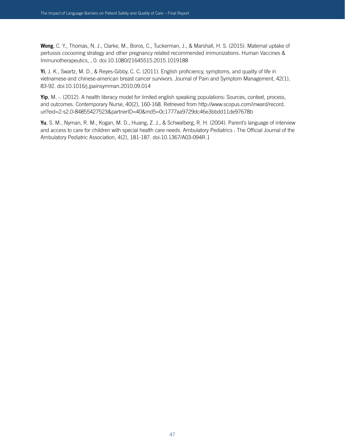**Wong**, C. Y., Thomas, N. J., Clarke, M., Boros, C., Tuckerman, J., & Marshall, H. S. (2015). Maternal uptake of pertussis cocooning strategy and other pregnancy related recommended immunizations. Human Vaccines & Immunotherapeutics, , 0. doi:10.1080/21645515.2015.1019188

**Yi**, J. K., Swartz, M. D., & Reyes-Gibby, C. C. (2011). English proficiency, symptoms, and quality of life in vietnamese-and chinese-american breast cancer survivors. Journal of Pain and Symptom Management, 42(1), 83-92. doi:10.1016/j.jpainsymman.2010.09.014

**Yip**, M. -. (2012). A health literacy model for limited english speaking populations: Sources, context, process, and outcomes. Contemporary Nurse, 40(2), 160-168. Retrieved from http://www.scopus.com/inward/record. url?eid=2-s2.0-84855427523&partnerID=40&md5=0c1777aa9729dc46e3bbdd11de97678b

**Yu**, S. M., Nyman, R. M., Kogan, M. D., Huang, Z. J., & Schwalberg, R. H. (2004). Parent's language of interview and access to care for children with special health care needs. Ambulatory Pediatrics : The Official Journal of the Ambulatory Pediatric Association, 4(2), 181-187. doi:10.1367/A03-094R.1